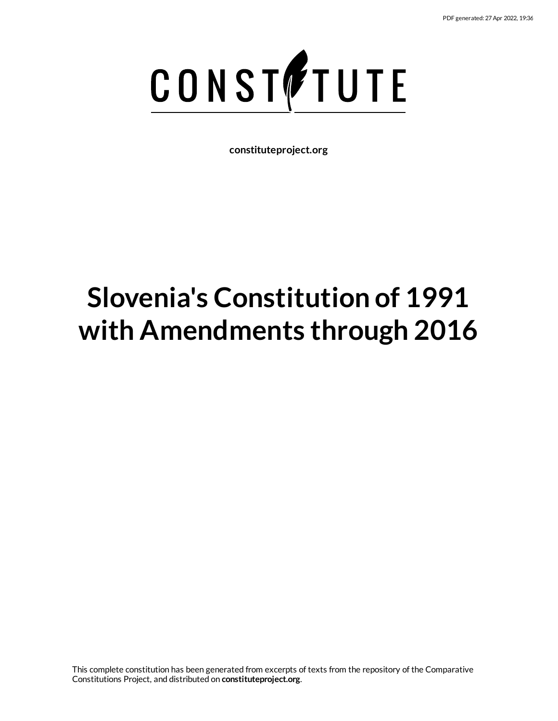

**constituteproject.org**

# **Slovenia's Constitution of 1991 with Amendments through 2016**

This complete constitution has been generated from excerpts of texts from the repository of the Comparative Constitutions Project, and distributed on **constituteproject.org**.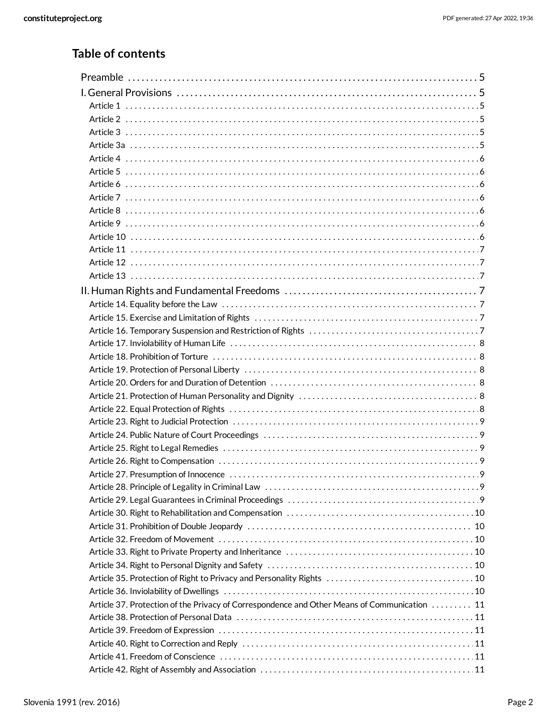### **Table of contents**

| Article 37. Protection of the Privacy of Correspondence and Other Means of Communication  11 |  |
|----------------------------------------------------------------------------------------------|--|
|                                                                                              |  |
|                                                                                              |  |
|                                                                                              |  |
|                                                                                              |  |
|                                                                                              |  |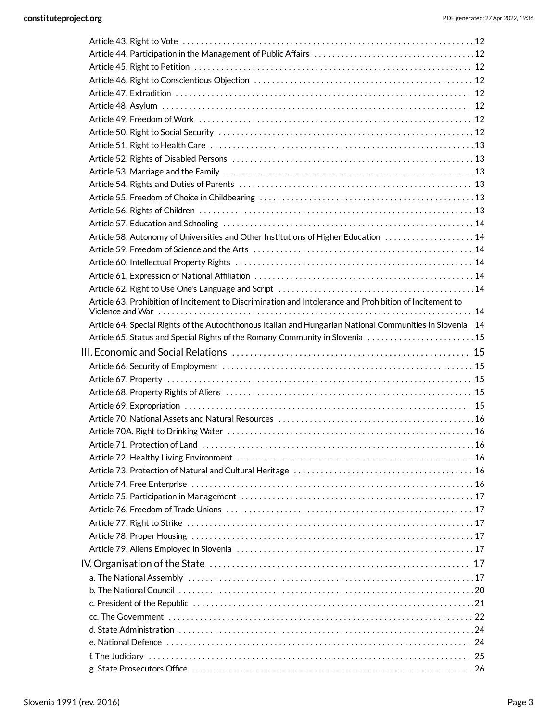| Article 58. Autonomy of Universities and Other Institutions of Higher Education  14                       |  |
|-----------------------------------------------------------------------------------------------------------|--|
|                                                                                                           |  |
|                                                                                                           |  |
|                                                                                                           |  |
|                                                                                                           |  |
| Article 63. Prohibition of Incitement to Discrimination and Intolerance and Prohibition of Incitement to  |  |
| Article 64. Special Rights of the Autochthonous Italian and Hungarian National Communities in Slovenia 14 |  |
| Article 65. Status and Special Rights of the Romany Community in Slovenia  15                             |  |
|                                                                                                           |  |
|                                                                                                           |  |
|                                                                                                           |  |
|                                                                                                           |  |
|                                                                                                           |  |
|                                                                                                           |  |
|                                                                                                           |  |
|                                                                                                           |  |
|                                                                                                           |  |
|                                                                                                           |  |
|                                                                                                           |  |
|                                                                                                           |  |
|                                                                                                           |  |
|                                                                                                           |  |
|                                                                                                           |  |
|                                                                                                           |  |
|                                                                                                           |  |
|                                                                                                           |  |
|                                                                                                           |  |
|                                                                                                           |  |
|                                                                                                           |  |
|                                                                                                           |  |
|                                                                                                           |  |
|                                                                                                           |  |
|                                                                                                           |  |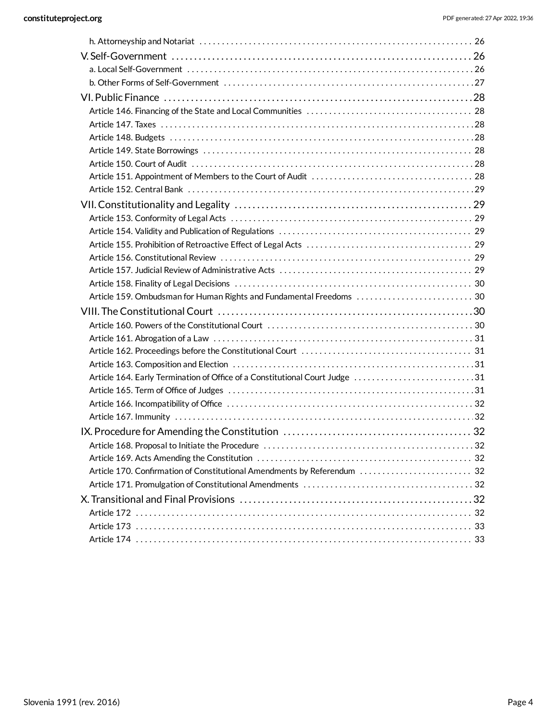| Article 159. Ombudsman for Human Rights and Fundamental Freedoms  30        |  |
|-----------------------------------------------------------------------------|--|
|                                                                             |  |
|                                                                             |  |
|                                                                             |  |
|                                                                             |  |
|                                                                             |  |
| Article 164. Early Termination of Office of a Constitutional Court Judge 31 |  |
|                                                                             |  |
|                                                                             |  |
|                                                                             |  |
|                                                                             |  |
|                                                                             |  |
|                                                                             |  |
| Article 170. Confirmation of Constitutional Amendments by Referendum  32    |  |
|                                                                             |  |
|                                                                             |  |
|                                                                             |  |
|                                                                             |  |
|                                                                             |  |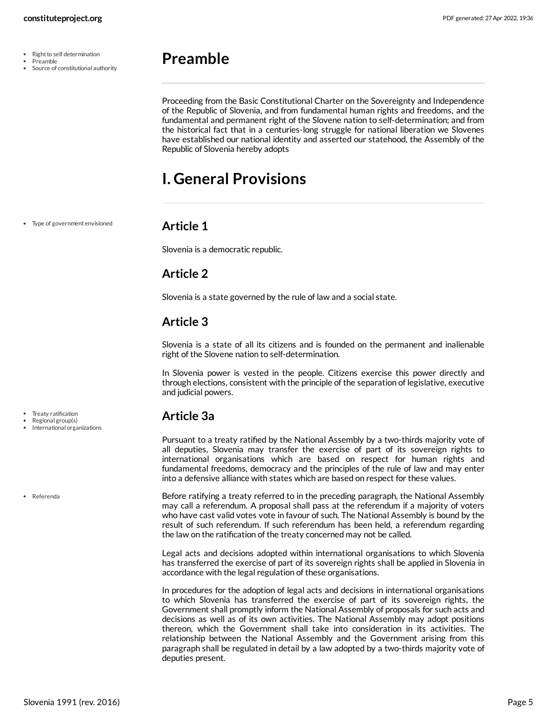- Right to self determination  $\bullet$
- Preamble
- Source of constitutional authority

<span id="page-4-0"></span>Proceeding from the Basic Constitutional Charter on the Sovereignty and Independence of the Republic of Slovenia, and from fundamental human rights and freedoms, and the fundamental and permanent right of the Slovene nation to self-determination; and from the historical fact that in a centuries-long struggle for national liberation we Slovenes have established our national identity and asserted our statehood, the Assembly of the Republic of Slovenia hereby adopts

## <span id="page-4-1"></span>**I. General Provisions**

Type of government envisioned

#### <span id="page-4-2"></span>**Article 1**

Slovenia is a democratic republic.

### <span id="page-4-3"></span>**Article 2**

Slovenia is a state governed by the rule of law and a social state.

### <span id="page-4-4"></span>**Article 3**

Slovenia is a state of all its citizens and is founded on the permanent and inalienable right of the Slovene nation to self-determination.

In Slovenia power is vested in the people. Citizens exercise this power directly and through elections, consistent with the principle of the separation of legislative, executive and judicial powers.

### <span id="page-4-5"></span>**Article 3a**

Pursuant to a treaty ratified by the National Assembly by a two-thirds majority vote of all deputies, Slovenia may transfer the exercise of part of its sovereign rights to international organisations which are based on respect for human rights and fundamental freedoms, democracy and the principles of the rule of law and may enter into a defensive alliance with states which are based on respect for these values.

<span id="page-4-6"></span>Before ratifying a treaty referred to in the preceding paragraph, the National Assembly may call a referendum. A proposal shall pass at the referendum if a majority of voters who have cast valid votes vote in favour of such. The National Assembly is bound by the result of such referendum. If such referendum has been held, a referendum regarding the law on the ratification of the treaty concerned may not be called.

Legal acts and decisions adopted within international organisations to which Slovenia has transferred the exercise of part of its sovereign rights shall be applied in Slovenia in accordance with the legal regulation of these organisations.

In procedures for the adoption of legal acts and decisions in international organisations to which Slovenia has transferred the exercise of part of its sovereign rights, the Government shall promptly inform the National Assembly of proposals for such acts and decisions as well as of its own activities. The National Assembly may adopt positions thereon, which the Government shall take into consideration in its activities. The relationship between the National Assembly and the Government arising from this paragraph shall be regulated in detail by a law adopted by a two-thirds majority vote of deputies present.

- Treaty ratification
- Regional group(s)
- International organizations

Referenda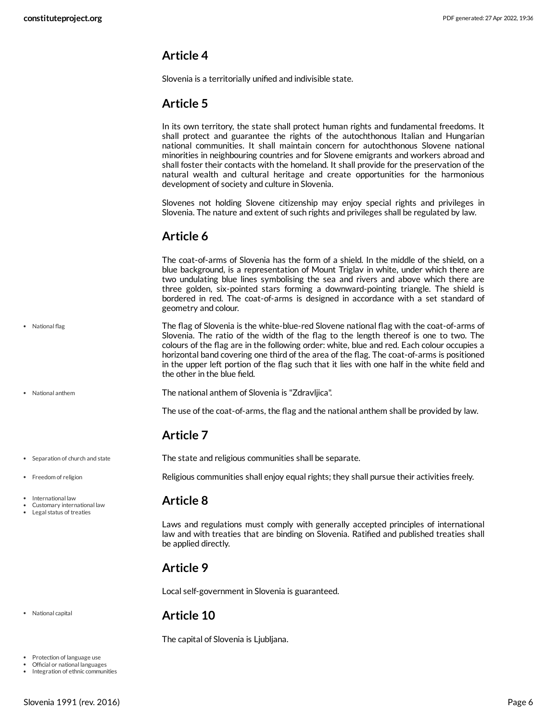### <span id="page-5-0"></span>**Article 4**

Slovenia is a territorially unified and indivisible state.

### <span id="page-5-1"></span>**Article 5**

In its own territory, the state shall protect human rights and fundamental freedoms. It shall protect and guarantee the rights of the autochthonous Italian and Hungarian national communities. It shall maintain concern for autochthonous Slovene national minorities in neighbouring countries and for Slovene emigrants and workers abroad and shall foster their contacts with the homeland. It shall provide for the preservation of the natural wealth and cultural heritage and create opportunities for the harmonious development of society and culture in Slovenia.

Slovenes not holding Slovene citizenship may enjoy special rights and privileges in Slovenia. The nature and extent of such rights and privileges shall be regulated by law.

### <span id="page-5-2"></span>**Article 6**

The coat-of-arms of Slovenia has the form of a shield. In the middle of the shield, on a blue background, is a representation of Mount Triglav in white, under which there are two undulating blue lines symbolising the sea and rivers and above which there are three golden, six-pointed stars forming a downward-pointing triangle. The shield is bordered in red. The coat-of-arms is designed in accordance with a set standard of geometry and colour.

<span id="page-5-10"></span>The flag of Slovenia is the white-blue-red Slovene national flag with the coat-of-arms of Slovenia. The ratio of the width of the flag to the length thereof is one to two. The colours of the flag are in the following order: white, blue and red. Each colour occupies a horizontal band covering one third of the area of the flag. The coat-of-arms is positioned in the upper left portion of the flag such that it lies with one half in the white field and the other in the blue field.

<span id="page-5-9"></span>The national anthem of Slovenia is "Zdravljica".

The use of the coat-of-arms, the flag and the national anthem shall be provided by law.

### <span id="page-5-3"></span>**Article 7**

<span id="page-5-11"></span>The state and religious communities shall be separate.

• Freedom of religion

• Separation of church and state

National flag

National anthem

- International law
- Customary international law
- Legal status of treaties

• National capital

• Protection of language use

Official or national languages

• Integration of ethnic communities

Slovenia 1991 (rev. 2016) Page 6

<span id="page-5-7"></span>Religious communities shall enjoy equal rights; they shall pursue their activities freely.

### <span id="page-5-4"></span>**Article 8**

Laws and regulations must comply with generally accepted principles of international law and with treaties that are binding on Slovenia. Ratified and published treaties shall be applied directly.

### <span id="page-5-5"></span>**Article 9**

Local self-government in Slovenia is guaranteed.

### <span id="page-5-6"></span>**Article 10**

<span id="page-5-8"></span>The capital of Slovenia is Ljubljana.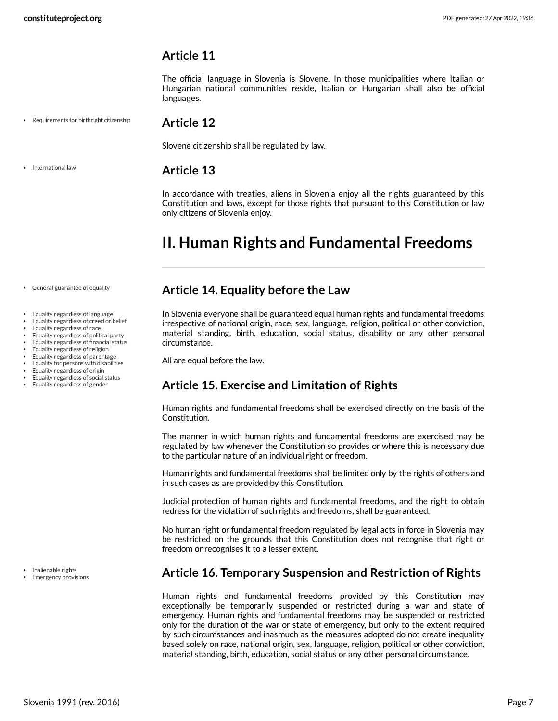#### <span id="page-6-0"></span>**Article 11**

The official language in Slovenia is Slovene. In those municipalities where Italian or Hungarian national communities reside, Italian or Hungarian shall also be official languages.

Requirements for birthright citizenship

• International law

#### <span id="page-6-1"></span>**Article 12**

Slovene citizenship shall be regulated by law.

#### <span id="page-6-2"></span>**Article 13**

In accordance with treaties, aliens in Slovenia enjoy all the rights guaranteed by this Constitution and laws, except for those rights that pursuant to this Constitution or law only citizens of Slovenia enjoy.

## <span id="page-6-3"></span>**II. Human Rights and Fundamental Freedoms**

#### • General guarantee of equality

- Equality regardless of language
- Equality regardless of creed or belief
- Equality regardless of race Equality regardless of political party
- Equality regardless of financial status
- Equality regardless of religion
- Equality regardless of parentage
- Equality for persons with disabilities
- Equality regardless of origin
- Equality regardless of social status
- Equality regardless of gender

• Inalienable rights Emergency provisions

#### <span id="page-6-4"></span>**Article 14. Equality before the Law**

<span id="page-6-7"></span>In Slovenia everyone shall be guaranteed equal human rights and fundamental freedoms irrespective of national origin, race, sex, language, religion, political or other conviction, material standing, birth, education, social status, disability or any other personal circumstance.

All are equal before the law.

### <span id="page-6-5"></span>**Article 15. Exercise and Limitation of Rights**

Human rights and fundamental freedoms shall be exercised directly on the basis of the Constitution.

The manner in which human rights and fundamental freedoms are exercised may be regulated by law whenever the Constitution so provides or where this is necessary due to the particular nature of an individual right or freedom.

Human rights and fundamental freedoms shall be limited only by the rights of others and in such cases as are provided by this Constitution.

Judicial protection of human rights and fundamental freedoms, and the right to obtain redress for the violation of such rights and freedoms, shall be guaranteed.

No human right or fundamental freedom regulated by legal acts in force in Slovenia may be restricted on the grounds that this Constitution does not recognise that right or freedom or recognises it to a lesser extent.

#### <span id="page-6-6"></span>**Article 16. Temporary Suspension and Restriction of Rights**

Human rights and fundamental freedoms provided by this Constitution may exceptionally be temporarily suspended or restricted during a war and state of emergency. Human rights and fundamental freedoms may be suspended or restricted only for the duration of the war or state of emergency, but only to the extent required by such circumstances and inasmuch as the measures adopted do not create inequality based solely on race, national origin, sex, language, religion, political or other conviction, material standing, birth, education, social status or any other personal circumstance.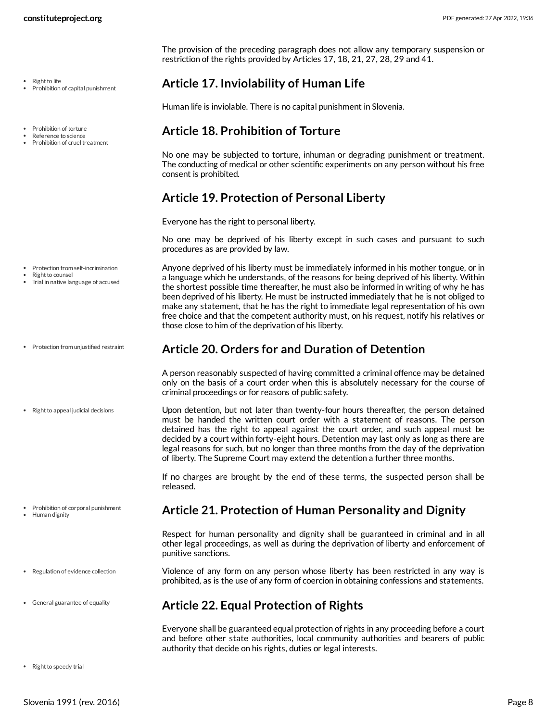- Right to life
- Prohibition of capital punishment
- Prohibition of torture
- Reference to science Prohibition of cruel treatment
- 

- Protection from self-incrimination
- Right to counsel
- Trial in native language of accused
- Protection from unjustified restraint
- Right to appeal judicial decisions

- Prohibition of corporal punishment
- Human dignity
- Regulation of evidence collection
- General guarantee of equality
- Right to speedy trial

The provision of the preceding paragraph does not allow any temporary suspension or restriction of the rights provided by Articles 17, 18, 21, 27, 28, 29 and 41.

### <span id="page-7-0"></span>**Article 17. Inviolability of Human Life**

Human life is inviolable. There is no capital punishment in Slovenia.

### <span id="page-7-1"></span>**Article 18. Prohibition of Torture**

No one may be subjected to torture, inhuman or degrading punishment or treatment. The conducting of medical or other scientific experiments on any person without his free consent is prohibited.

### <span id="page-7-2"></span>**Article 19. Protection of Personal Liberty**

Everyone has the right to personal liberty.

No one may be deprived of his liberty except in such cases and pursuant to such procedures as are provided by law.

<span id="page-7-6"></span>Anyone deprived of his liberty must be immediately informed in his mother tongue, or in a language which he understands, of the reasons for being deprived of his liberty. Within the shortest possible time thereafter, he must also be informed in writing of why he has been deprived of his liberty. He must be instructed immediately that he is not obliged to make any statement, that he has the right to immediate legal representation of his own free choice and that the competent authority must, on his request, notify his relatives or those close to him of the deprivation of his liberty.

### <span id="page-7-3"></span>**Article 20. Orders for and Duration of Detention**

A person reasonably suspected of having committed a criminal offence may be detained only on the basis of a court order when this is absolutely necessary for the course of criminal proceedings or for reasons of public safety.

<span id="page-7-8"></span>Upon detention, but not later than twenty-four hours thereafter, the person detained must be handed the written court order with a statement of reasons. The person detained has the right to appeal against the court order, and such appeal must be decided by a court within forty-eight hours. Detention may last only as long as there are legal reasons for such, but no longer than three months from the day of the deprivation of liberty. The Supreme Court may extend the detention a further three months.

If no charges are brought by the end of these terms, the suspected person shall be released.

### <span id="page-7-4"></span>**Article 21. Protection of Human Personality and Dignity**

Respect for human personality and dignity shall be guaranteed in criminal and in all other legal proceedings, as well as during the deprivation of liberty and enforcement of punitive sanctions.

<span id="page-7-7"></span>Violence of any form on any person whose liberty has been restricted in any way is prohibited, as is the use of any form of coercion in obtaining confessions and statements.

### <span id="page-7-5"></span>**Article 22. Equal Protection of Rights**

<span id="page-7-9"></span>Everyone shall be guaranteed equal protection of rights in any proceeding before a court and before other state authorities, local community authorities and bearers of public authority that decide on his rights, duties or legal interests.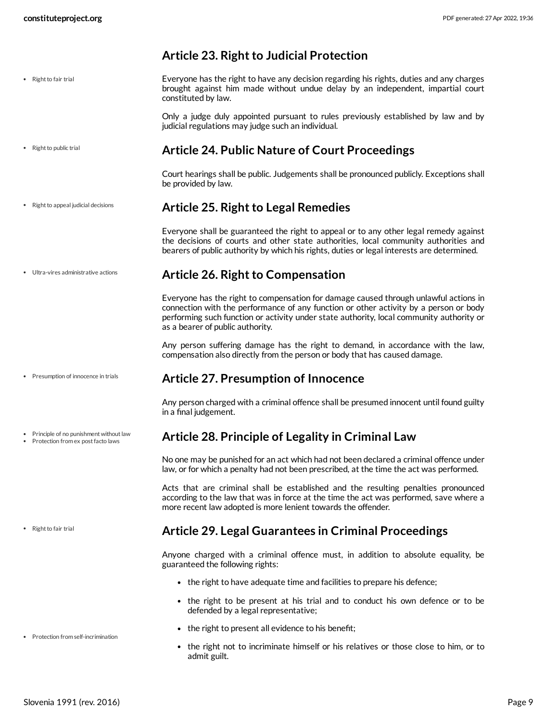<span id="page-8-8"></span><span id="page-8-3"></span><span id="page-8-2"></span><span id="page-8-1"></span><span id="page-8-0"></span>

|                                                                                | <b>Article 23. Right to Judicial Protection</b>                                                                                                                                                                                                                                                               |
|--------------------------------------------------------------------------------|---------------------------------------------------------------------------------------------------------------------------------------------------------------------------------------------------------------------------------------------------------------------------------------------------------------|
| Right to fair trial                                                            | Everyone has the right to have any decision regarding his rights, duties and any charges<br>brought against him made without undue delay by an independent, impartial court<br>constituted by law.                                                                                                            |
|                                                                                | Only a judge duly appointed pursuant to rules previously established by law and by<br>judicial regulations may judge such an individual.                                                                                                                                                                      |
| Right to public trial                                                          | <b>Article 24. Public Nature of Court Proceedings</b>                                                                                                                                                                                                                                                         |
|                                                                                | Court hearings shall be public. Judgements shall be pronounced publicly. Exceptions shall<br>be provided by law.                                                                                                                                                                                              |
| Right to appeal judicial decisions                                             | <b>Article 25. Right to Legal Remedies</b>                                                                                                                                                                                                                                                                    |
|                                                                                | Everyone shall be guaranteed the right to appeal or to any other legal remedy against<br>the decisions of courts and other state authorities, local community authorities and<br>bearers of public authority by which his rights, duties or legal interests are determined.                                   |
| Ultra-vires administrative actions                                             | <b>Article 26. Right to Compensation</b>                                                                                                                                                                                                                                                                      |
|                                                                                | Everyone has the right to compensation for damage caused through unlawful actions in<br>connection with the performance of any function or other activity by a person or body<br>performing such function or activity under state authority, local community authority or<br>as a bearer of public authority. |
|                                                                                | Any person suffering damage has the right to demand, in accordance with the law,<br>compensation also directly from the person or body that has caused damage.                                                                                                                                                |
| Presumption of innocence in trials                                             | <b>Article 27. Presumption of Innocence</b>                                                                                                                                                                                                                                                                   |
|                                                                                | Any person charged with a criminal offence shall be presumed innocent until found guilty<br>in a final judgement.                                                                                                                                                                                             |
| Principle of no punishment without law<br>• Protection from ex post facto laws | Article 28. Principle of Legality in Criminal Law                                                                                                                                                                                                                                                             |
|                                                                                | No one may be punished for an act which had not been declared a criminal offence under<br>law, or for which a penalty had not been prescribed, at the time the act was performed.                                                                                                                             |
|                                                                                | Acts that are criminal shall be established and the resulting penalties pronounced<br>according to the law that was in force at the time the act was performed, save where a<br>more recent law adopted is more lenient towards the offender.                                                                 |
| • Right to fair trial                                                          | <b>Article 29. Legal Guarantees in Criminal Proceedings</b>                                                                                                                                                                                                                                                   |
|                                                                                | Anyone charged with a criminal offence must, in addition to absolute equality, be<br>guaranteed the following rights:                                                                                                                                                                                         |
|                                                                                | • the right to have adequate time and facilities to prepare his defence;                                                                                                                                                                                                                                      |
|                                                                                | • the right to be present at his trial and to conduct his own defence or to be<br>defended by a legal representative;                                                                                                                                                                                         |
|                                                                                | the right to present all evidence to his benefit.                                                                                                                                                                                                                                                             |

Protection from self-incrimination

#### <span id="page-8-6"></span><span id="page-8-5"></span><span id="page-8-4"></span>the right to present all evidence to his benefit;

<span id="page-8-7"></span>the right not to incriminate himself or his relatives or those close to him, or to admit guilt.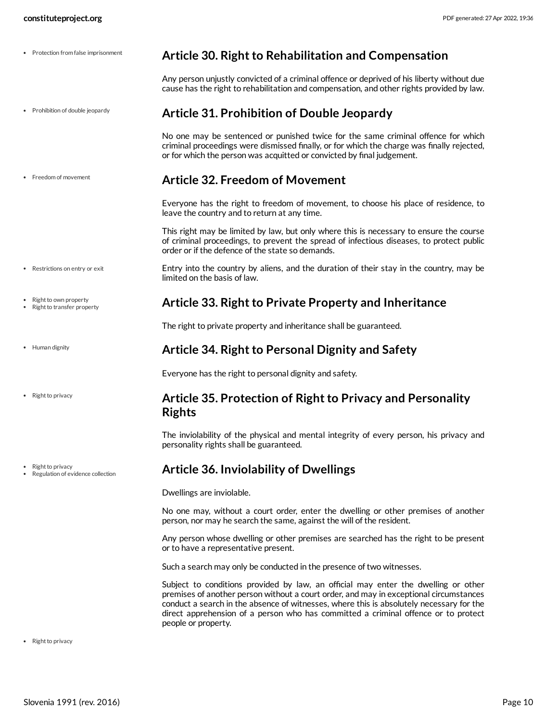<span id="page-9-7"></span><span id="page-9-2"></span><span id="page-9-1"></span><span id="page-9-0"></span>

| • Protection from false imprisonment                  | <b>Article 30. Right to Rehabilitation and Compensation</b>                                                                                                                                                                                               |  |
|-------------------------------------------------------|-----------------------------------------------------------------------------------------------------------------------------------------------------------------------------------------------------------------------------------------------------------|--|
|                                                       | Any person unjustly convicted of a criminal offence or deprived of his liberty without due<br>cause has the right to rehabilitation and compensation, and other rights provided by law.                                                                   |  |
| • Prohibition of double jeopardy                      | <b>Article 31. Prohibition of Double Jeopardy</b>                                                                                                                                                                                                         |  |
|                                                       | No one may be sentenced or punished twice for the same criminal offence for which<br>criminal proceedings were dismissed finally, or for which the charge was finally rejected,<br>or for which the person was acquitted or convicted by final judgement. |  |
| • Freedom of movement                                 | <b>Article 32. Freedom of Movement</b>                                                                                                                                                                                                                    |  |
|                                                       | Everyone has the right to freedom of movement, to choose his place of residence, to<br>leave the country and to return at any time.                                                                                                                       |  |
|                                                       | This right may be limited by law, but only where this is necessary to ensure the course<br>of criminal proceedings, to prevent the spread of infectious diseases, to protect public<br>order or if the defence of the state so demands.                   |  |
| • Restrictions on entry or exit                       | Entry into the country by aliens, and the duration of their stay in the country, may be<br>limited on the basis of law.                                                                                                                                   |  |
| Right to own property<br>Right to transfer property   | Article 33. Right to Private Property and Inheritance                                                                                                                                                                                                     |  |
|                                                       | The right to private property and inheritance shall be guaranteed.                                                                                                                                                                                        |  |
| • Human dignity                                       | <b>Article 34. Right to Personal Dignity and Safety</b>                                                                                                                                                                                                   |  |
|                                                       | Everyone has the right to personal dignity and safety.                                                                                                                                                                                                    |  |
| • Right to privacy                                    | Article 35. Protection of Right to Privacy and Personality<br><b>Rights</b>                                                                                                                                                                               |  |
|                                                       | The inviolability of the physical and mental integrity of every person, his privacy and<br>personality rights shall be guaranteed.                                                                                                                        |  |
| Right to privacy<br>Regulation of evidence collection | <b>Article 36. Inviolability of Dwellings</b>                                                                                                                                                                                                             |  |
|                                                       | Dwellings are inviolable.                                                                                                                                                                                                                                 |  |
|                                                       | No one may, without a court order, enter the dwelling or other premises of another<br>person, nor may he search the same, against the will of the resident.                                                                                               |  |
|                                                       | Any person whose dwelling or other premises are searched has the right to be present<br>or to have a representative present.                                                                                                                              |  |
|                                                       | Such a search may only be conducted in the presence of two witnesses.                                                                                                                                                                                     |  |
|                                                       | Subject to conditions provided by law, an official may enter the dwelling or other                                                                                                                                                                        |  |

<span id="page-9-6"></span><span id="page-9-5"></span><span id="page-9-4"></span><span id="page-9-3"></span>premises of another person without a court order, and may in exceptional circumstances conduct a search in the absence of witnesses, where this is absolutely necessary for the direct apprehension of a person who has committed a criminal offence or to protect people or property.

• Right to privacy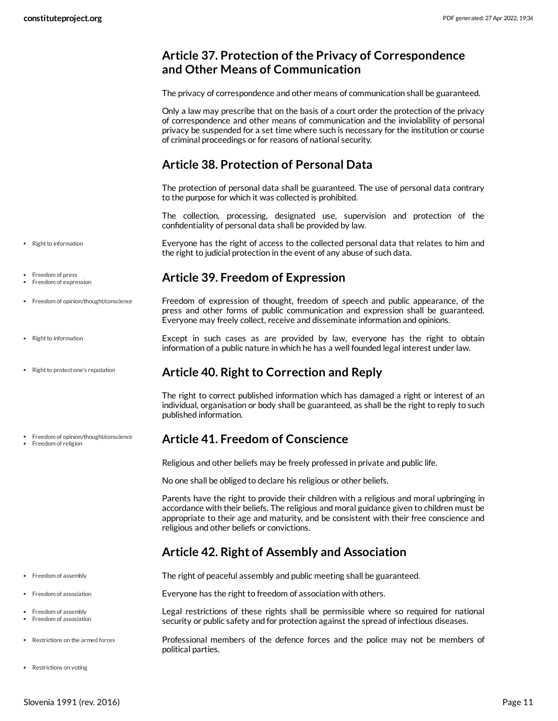### <span id="page-10-0"></span>**Article 37. Protection of the Privacy of Correspondence and Other Means of Communication**

The privacy of correspondence and other means of communication shall be guaranteed.

Only a law may prescribe that on the basis of a court order the protection of the privacy of correspondence and other means of communication and the inviolability of personal privacy be suspended for a set time where such is necessary for the institution or course of criminal proceedings or for reasons of national security.

### <span id="page-10-1"></span>**Article 38. Protection of Personal Data**

<span id="page-10-2"></span>**Article 39. Freedom of Expression**

<span id="page-10-3"></span>**Article 40. Right to Correction and Reply**

No one shall be obliged to declare his religious or other beliefs.

<span id="page-10-5"></span>**Article 42. Right of Assembly and Association**

<span id="page-10-7"></span>Everyone has the right to freedom of association with others.

<span id="page-10-6"></span>The right of peaceful assembly and public meeting shall be guaranteed.

<span id="page-10-4"></span>**Article 41. Freedom of Conscience**

religious and other beliefs or convictions.

published information.

the right to judicial protection in the event of any abuse of such data.

The protection of personal data shall be guaranteed. The use of personal data contrary to the purpose for which it was collected is prohibited.

The collection, processing, designated use, supervision and protection of the confidentiality of personal data shall be provided by law.

<span id="page-10-11"></span>Everyone has the right of access to the collected personal data that relates to him and

<span id="page-10-8"></span>Freedom of expression of thought, freedom of speech and public appearance, of the press and other forms of public communication and expression shall be guaranteed.

Except in such cases as are provided by law, everyone has the right to obtain information of a public nature in which he has a well founded legal interest under law.

The right to correct published information which has damaged a right or interest of an individual, organisation or body shall be guaranteed, as shall be the right to reply to such

Parents have the right to provide their children with a religious and moral upbringing in accordance with their beliefs. The religious and moral guidance given to children must be appropriate to their age and maturity, and be consistent with their free conscience and

Everyone may freely collect, receive and disseminate information and opinions.

Religious and other beliefs may be freely professed in private and public life.

- Right to information
- Freedom of press
- Freedom of expression
- Freedom of opinion/thought/conscience
- Right to information
- Right to protect one's reputation
- Freedom of opinion/thought/conscience
- Freedom of religion

- Freedom of assembly
- Freedom of association
- Freedom of assembly
- Freedom of association
- Restrictions on the armed forces
- <span id="page-10-10"></span><span id="page-10-9"></span>security or public safety and for protection against the spread of infectious diseases. Professional members of the defence forces and the police may not be members of political parties.

Legal restrictions of these rights shall be permissible where so required for national

• Restrictions on voting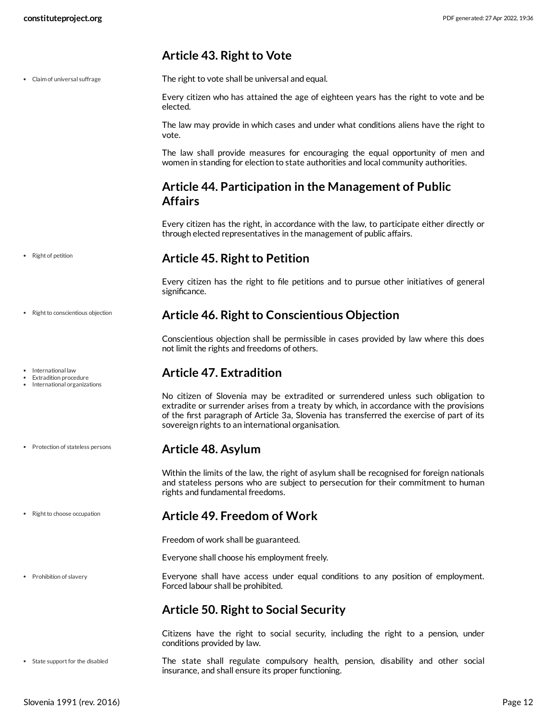### <span id="page-11-0"></span>**Article 43. Right to Vote**

Claim of universal suffrage

The right to vote shall be universal and equal.

<span id="page-11-8"></span>Every citizen who has attained the age of eighteen years has the right to vote and be elected.

The law may provide in which cases and under what conditions aliens have the right to vote.

The law shall provide measures for encouraging the equal opportunity of men and women in standing for election to state authorities and local community authorities.

### <span id="page-11-1"></span>**Article 44. Participation in the Management of Public Affairs**

Every citizen has the right, in accordance with the law, to participate either directly or through elected representatives in the management of public affairs.

#### • Right of petition

• International law Extradition procedure International organizations

• Right to conscientious objection

• Protection of stateless persons

• Right to choose occupation

• Prohibition of slavery

#### <span id="page-11-2"></span>**Article 45. Right to Petition**

Every citizen has the right to file petitions and to pursue other initiatives of general significance.

### <span id="page-11-3"></span>**Article 46. Right to Conscientious Objection**

Conscientious objection shall be permissible in cases provided by law where this does not limit the rights and freedoms of others.

### <span id="page-11-4"></span>**Article 47. Extradition**

No citizen of Slovenia may be extradited or surrendered unless such obligation to extradite or surrender arises from a treaty by which, in accordance with the provisions of the first paragraph of Article 3a, Slovenia has transferred the exercise of part of its sovereign rights to an international organisation.

### <span id="page-11-5"></span>**Article 48. Asylum**

Within the limits of the law, the right of asylum shall be recognised for foreign nationals and stateless persons who are subject to persecution for their commitment to human rights and fundamental freedoms.

#### <span id="page-11-6"></span>**Article 49. Freedom of Work**

Freedom of work shall be guaranteed.

Everyone shall choose his employment freely.

<span id="page-11-9"></span>Everyone shall have access under equal conditions to any position of employment. Forced labour shall be prohibited.

### <span id="page-11-7"></span>**Article 50. Right to Social Security**

<span id="page-11-10"></span>Citizens have the right to social security, including the right to a pension, under conditions provided by law.

The state shall regulate compulsory health, pension, disability and other social insurance, and shall ensure its proper functioning.

Slovenia 1991 (rev. 2016) Page 12

• State support for the disabled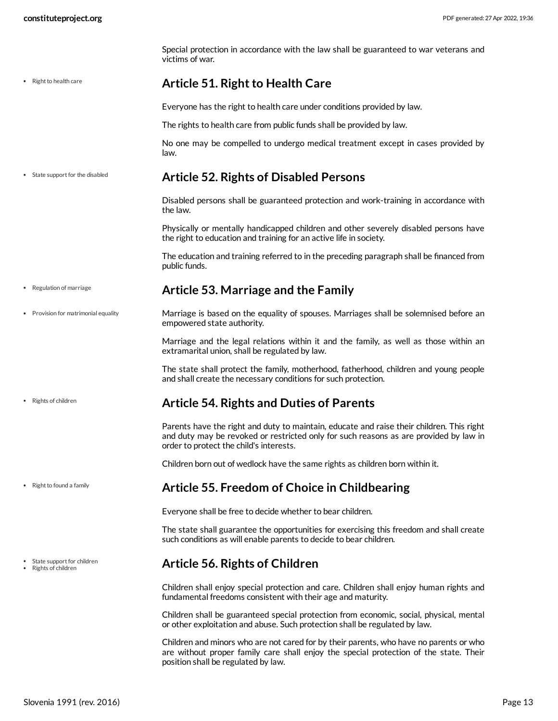Special protection in accordance with the law shall be guaranteed to war veterans and victims of war.

#### • Right to health care

#### <span id="page-12-0"></span>**Article 51. Right to Health Care**

Everyone has the right to health care under conditions provided by law.

The rights to health care from public funds shall be provided by law.

No one may be compelled to undergo medical treatment except in cases provided by law.

• State support for the disabled

#### <span id="page-12-1"></span>**Article 52. Rights of Disabled Persons**

Disabled persons shall be guaranteed protection and work-training in accordance with the law.

Physically or mentally handicapped children and other severely disabled persons have the right to education and training for an active life in society.

The education and training referred to in the preceding paragraph shall be financed from public funds.

#### Regulation of marriage

• Provision for matrimonial equality

Rights of children

• Right to found a family

- State support for children
- Rights of children

#### <span id="page-12-2"></span>**Article 53. Marriage and the Family**

<span id="page-12-6"></span>Marriage is based on the equality of spouses. Marriages shall be solemnised before an empowered state authority.

Marriage and the legal relations within it and the family, as well as those within an extramarital union, shall be regulated by law.

The state shall protect the family, motherhood, fatherhood, children and young people and shall create the necessary conditions for such protection.

#### <span id="page-12-3"></span>**Article 54. Rights and Duties of Parents**

Parents have the right and duty to maintain, educate and raise their children. This right and duty may be revoked or restricted only for such reasons as are provided by law in order to protect the child's interests.

Children born out of wedlock have the same rights as children born within it.

### <span id="page-12-4"></span>**Article 55. Freedom of Choice in Childbearing**

Everyone shall be free to decide whether to bear children.

The state shall guarantee the opportunities for exercising this freedom and shall create such conditions as will enable parents to decide to bear children.

#### <span id="page-12-5"></span>**Article 56. Rights of Children**

Children shall enjoy special protection and care. Children shall enjoy human rights and fundamental freedoms consistent with their age and maturity.

Children shall be guaranteed special protection from economic, social, physical, mental or other exploitation and abuse. Such protection shall be regulated by law.

Children and minors who are not cared for by their parents, who have no parents or who are without proper family care shall enjoy the special protection of the state. Their position shall be regulated by law.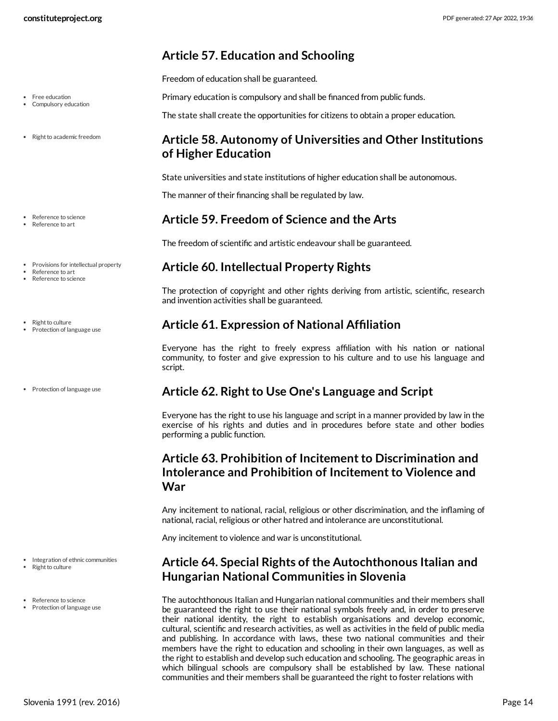### <span id="page-13-0"></span>**Article 57. Education and Schooling**

Freedom of education shall be guaranteed.

<span id="page-13-8"></span>Primary education is compulsory and shall be financed from public funds.

The state shall create the opportunities for citizens to obtain a proper education.

### <span id="page-13-1"></span>**Article 58. Autonomy of Universities and Other Institutions of Higher Education**

State universities and state institutions of higher education shall be autonomous.

The manner of their financing shall be regulated by law.

### <span id="page-13-2"></span>**Article 59. Freedom of Science and the Arts**

The freedom of scientific and artistic endeavour shall be guaranteed.

### <span id="page-13-3"></span>**Article 60. Intellectual Property Rights**

The protection of copyright and other rights deriving from artistic, scientific, research and invention activities shall be guaranteed.

### <span id="page-13-4"></span>**Article 61. Expression of National Affiliation**

Everyone has the right to freely express affiliation with his nation or national community, to foster and give expression to his culture and to use his language and script.

### <span id="page-13-5"></span>**Article 62. Right to Use One's Language and Script**

Everyone has the right to use his language and script in a manner provided by law in the exercise of his rights and duties and in procedures before state and other bodies performing a public function.

### <span id="page-13-6"></span>**Article 63. Prohibition of Incitement to Discrimination and Intolerance and Prohibition of Incitement to Violence and War**

Any incitement to national, racial, religious or other discrimination, and the inflaming of national, racial, religious or other hatred and intolerance are unconstitutional.

Any incitement to violence and war is unconstitutional.

### <span id="page-13-7"></span>**Article 64. Special Rights of the Autochthonous Italian and Hungarian National Communities in Slovenia**

The autochthonous Italian and Hungarian national communities and their members shall be guaranteed the right to use their national symbols freely and, in order to preserve their national identity, the right to establish organisations and develop economic, cultural, scientific and research activities, as well as activities in the field of public media and publishing. In accordance with laws, these two national communities and their members have the right to education and schooling in their own languages, as well as the right to establish and develop such education and schooling. The geographic areas in which bilingual schools are compulsory shall be established by law. These national communities and their members shall be guaranteed the right to foster relations with

Compulsory education

• Free education

- Right to academic freedom
- Reference to science Reference to art
- Provisions for intellectual property
- Reference to art Reference to science
- Right to culture Protection of language use
- Protection of language use

• Integration of ethnic communities

- Right to culture
- Reference to science Protection of language use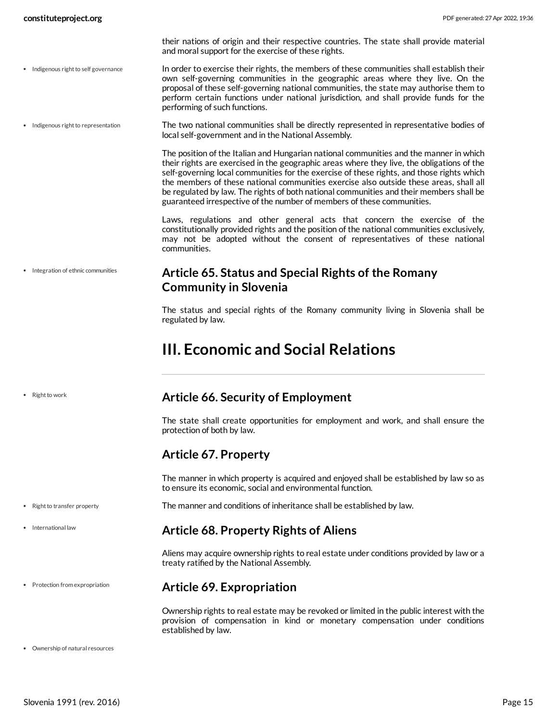• Indigenous right to self governance

their nations of origin and their respective countries. The state shall provide material and moral support for the exercise of these rights.

<span id="page-14-7"></span>In order to exercise their rights, the members of these communities shall establish their own self-governing communities in the geographic areas where they live. On the proposal of these self-governing national communities, the state may authorise them to perform certain functions under national jurisdiction, and shall provide funds for the performing of such functions.

The two national communities shall be directly represented in representative bodies of local self-government and in the National Assembly. • Indigenous right to representation

> <span id="page-14-6"></span>The position of the Italian and Hungarian national communities and the manner in which their rights are exercised in the geographic areas where they live, the obligations of the self-governing local communities for the exercise of these rights, and those rights which the members of these national communities exercise also outside these areas, shall all be regulated by law. The rights of both national communities and their members shall be guaranteed irrespective of the number of members of these communities.

> Laws, regulations and other general acts that concern the exercise of the constitutionally provided rights and the position of the national communities exclusively, may not be adopted without the consent of representatives of these national communities.

• Integration of ethnic communities

#### <span id="page-14-0"></span>**Article 65. Status and Special Rights of the Romany Community in Slovenia**

The status and special rights of the Romany community living in Slovenia shall be regulated by law.

## <span id="page-14-1"></span>**III. Economic and Social Relations**

• Right to work

• Right to transfer property

International law

### <span id="page-14-2"></span>**Article 66. Security of Employment**

The state shall create opportunities for employment and work, and shall ensure the protection of both by law.

### <span id="page-14-3"></span>**Article 67. Property**

The manner in which property is acquired and enjoyed shall be established by law so as to ensure its economic, social and environmental function.

<span id="page-14-9"></span>The manner and conditions of inheritance shall be established by law.

#### <span id="page-14-4"></span>**Article 68. Property Rights of Aliens**

Aliens may acquire ownership rights to real estate under conditions provided by law or a treaty ratified by the National Assembly.

#### <span id="page-14-5"></span>**Article 69. Expropriation**

<span id="page-14-8"></span>Ownership rights to real estate may be revoked or limited in the public interest with the provision of compensation in kind or monetary compensation under conditions established by law.

Ownership of natural resources

• Protection from expropriation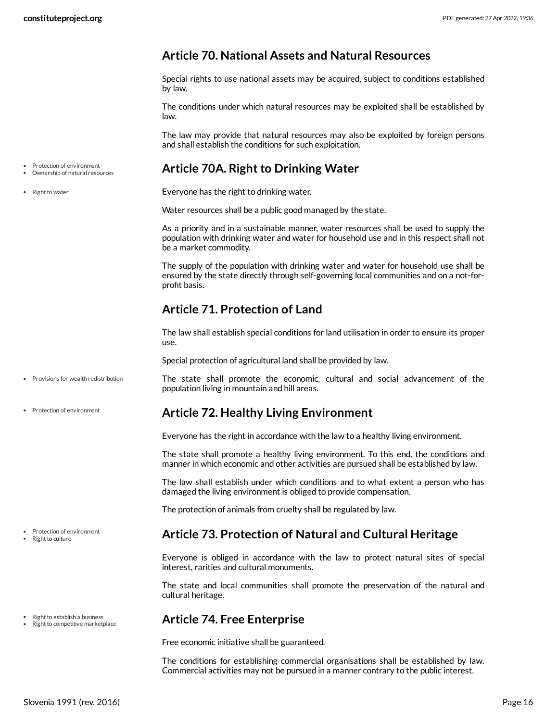### <span id="page-15-0"></span>**Article 70. National Assets and Natural Resources**

Special rights to use national assets may be acquired, subject to conditions established by law.

The conditions under which natural resources may be exploited shall be established by law.

The law may provide that natural resources may also be exploited by foreign persons and shall establish the conditions for such exploitation.

#### <span id="page-15-1"></span>**Article 70A. Right to Drinking Water**

<span id="page-15-7"></span>Everyone has the right to drinking water.

Water resources shall be a public good managed by the state.

As a priority and in a sustainable manner, water resources shall be used to supply the population with drinking water and water for household use and in this respect shall not be a market commodity.

The supply of the population with drinking water and water for household use shall be ensured by the state directly through self-governing local communities and on a not-forprofit basis.

### <span id="page-15-2"></span>**Article 71. Protection of Land**

The law shall establish special conditions for land utilisation in order to ensure its proper use.

<span id="page-15-6"></span>Special protection of agricultural land shall be provided by law.

The state shall promote the economic, cultural and social advancement of the population living in mountain and hill areas.

### <span id="page-15-3"></span>**Article 72. Healthy Living Environment**

Everyone has the right in accordance with the law to a healthy living environment.

The state shall promote a healthy living environment. To this end, the conditions and manner in which economic and other activities are pursued shall be established by law.

The law shall establish under which conditions and to what extent a person who has damaged the living environment is obliged to provide compensation.

The protection of animals from cruelty shall be regulated by law.

### <span id="page-15-4"></span>**Article 73. Protection of Natural and Cultural Heritage**

Everyone is obliged in accordance with the law to protect natural sites of special interest, rarities and cultural monuments.

The state and local communities shall promote the preservation of the natural and cultural heritage.

### <span id="page-15-5"></span>**Article 74. Free Enterprise**

Free economic initiative shall be guaranteed.

The conditions for establishing commercial organisations shall be established by law. Commercial activities may not be pursued in a manner contrary to the public interest.

- Protection of environment
- Ownership of natural resources

• Right to water

Protection of environment

• Right to establish a business Right to competitive marketplace

Provisions for wealth redistribution

• Protection of environment

Right to culture

Slovenia 1991 (rev. 2016) Page 16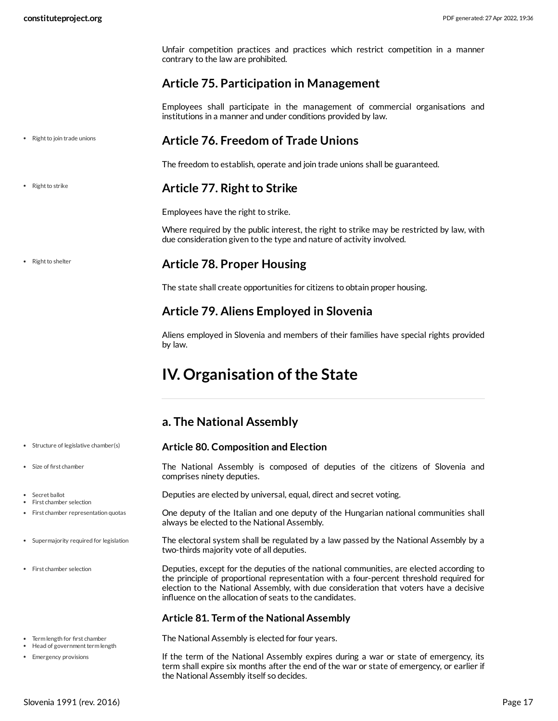Unfair competition practices and practices which restrict competition in a manner contrary to the law are prohibited.

### <span id="page-16-0"></span>**Article 75. Participation in Management**

Employees shall participate in the management of commercial organisations and institutions in a manner and under conditions provided by law.

• Right to join trade unions

### <span id="page-16-1"></span>**Article 76. Freedom of Trade Unions**

The freedom to establish, operate and join trade unions shall be guaranteed.

### <span id="page-16-2"></span>**Article 77. Right to Strike**

Employees have the right to strike.

Where required by the public interest, the right to strike may be restricted by law, with due consideration given to the type and nature of activity involved.

• Right to shelter

 $\cdot$  Right to strike

#### <span id="page-16-3"></span>**Article 78. Proper Housing**

The state shall create opportunities for citizens to obtain proper housing.

### <span id="page-16-4"></span>**Article 79. Aliens Employed in Slovenia**

Aliens employed in Slovenia and members of their families have special rights provided by law.

## <span id="page-16-5"></span>**IV.** Organisation of the State

### <span id="page-16-6"></span>**a. The National Assembly**

#### <span id="page-16-12"></span>**Article 80. Composition and Election**

<span id="page-16-11"></span>The National Assembly is composed of deputies of the citizens of Slovenia and comprises ninety deputies.

<span id="page-16-9"></span>Deputies are elected by universal, equal, direct and secret voting.

<span id="page-16-8"></span>One deputy of the Italian and one deputy of the Hungarian national communities shall always be elected to the National Assembly.

<span id="page-16-13"></span>The electoral system shall be regulated by a law passed by the National Assembly by a two-thirds majority vote of all deputies.

Deputies, except for the deputies of the national communities, are elected according to the principle of proportional representation with a four-percent threshold required for election to the National Assembly, with due consideration that voters have a decisive influence on the allocation of seats to the candidates.

#### **Article 81. Term of the National Assembly**

<span id="page-16-10"></span>The National Assembly is elected for four years.

<span id="page-16-7"></span>If the term of the National Assembly expires during a war or state of emergency, its term shall expire six months after the end of the war or state of emergency, or earlier if the National Assembly itself so decides.

#### • Structure of legislative chamber(s)

Size of first chamber

Secret ballot

• First chamber selection

• First chamber representation quotas

Supermajority required for legislation

First chamber selection

Term length for first chamber  $\bullet$  Head of government term length

• Emergency provisions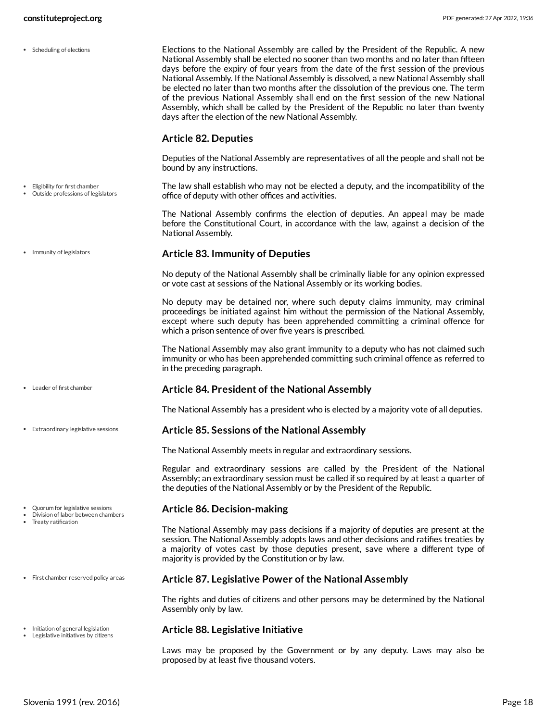• Scheduling of elections

<span id="page-17-7"></span>Elections to the National Assembly are called by the President of the Republic. A new National Assembly shall be elected no sooner than two months and no later than fifteen days before the expiry of four years from the date of the first session of the previous National Assembly. If the National Assembly is dissolved, a new National Assembly shall be elected no later than two months after the dissolution of the previous one. The term of the previous National Assembly shall end on the first session of the new National Assembly, which shall be called by the President of the Republic no later than twenty days after the election of the new National Assembly.

#### **Article 82. Deputies**

Deputies of the National Assembly are representatives of all the people and shall not be bound by any instructions.

<span id="page-17-1"></span>The law shall establish who may not be elected a deputy, and the incompatibility of the office of deputy with other offices and activities.

The National Assembly confirms the election of deputies. An appeal may be made before the Constitutional Court, in accordance with the law, against a decision of the National Assembly.

#### <span id="page-17-4"></span>**Article 83. Immunity of Deputies**

No deputy of the National Assembly shall be criminally liable for any opinion expressed or vote cast at sessions of the National Assembly or its working bodies.

No deputy may be detained nor, where such deputy claims immunity, may criminal proceedings be initiated against him without the permission of the National Assembly, except where such deputy has been apprehended committing a criminal offence for which a prison sentence of over five years is prescribed.

The National Assembly may also grant immunity to a deputy who has not claimed such immunity or who has been apprehended committing such criminal offence as referred to in the preceding paragraph.

#### <span id="page-17-6"></span>**Article 84. President of the National Assembly**

The National Assembly has a president who is elected by a majority vote of all deputies.

#### <span id="page-17-2"></span>**Article 85. Sessions of the National Assembly**

The National Assembly meets in regular and extraordinary sessions.

Regular and extraordinary sessions are called by the President of the National Assembly; an extraordinary session must be called if so required by at least a quarter of the deputies of the National Assembly or by the President of the Republic.

#### <span id="page-17-0"></span>**Article 86. Decision-making**

The National Assembly may pass decisions if a majority of deputies are present at the session. The National Assembly adopts laws and other decisions and ratifies treaties by a majority of votes cast by those deputies present, save where a different type of majority is provided by the Constitution or by law.

#### <span id="page-17-3"></span>**Article 87. Legislative Power of the National Assembly**

The rights and duties of citizens and other persons may be determined by the National Assembly only by law.

#### <span id="page-17-5"></span>**Article 88. Legislative Initiative**

Laws may be proposed by the Government or by any deputy. Laws may also be proposed by at least five thousand voters.

Eligibility for first chamber

- Outside professions of legislators
- Immunity of legislators

- Leader of first chamber
- Extraordinary legislative sessions
- Quorum for legislative sessions Division of labor between chambers
- Treaty ratification
- First chamber reserved policy areas
- Initiation of general legislation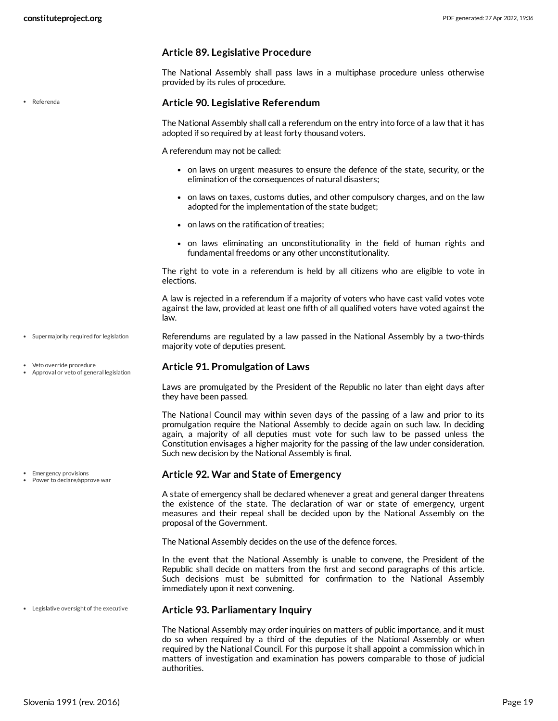#### **Article 89. Legislative Procedure**

The National Assembly shall pass laws in a multiphase procedure unless otherwise provided by its rules of procedure.

Referenda

#### <span id="page-18-3"></span>**Article 90. Legislative Referendum**

The National Assembly shall call a referendum on the entry into force of a law that it has adopted if so required by at least forty thousand voters.

A referendum may not be called:

- on laws on urgent measures to ensure the defence of the state, security, or the elimination of the consequences of natural disasters;
- on laws on taxes, customs duties, and other compulsory charges, and on the law adopted for the implementation of the state budget;
- on laws on the ratification of treaties;
- on laws eliminating an unconstitutionality in the field of human rights and fundamental freedoms or any other unconstitutionality.

The right to vote in a referendum is held by all citizens who are eligible to vote in elections.

A law is rejected in a referendum if a majority of voters who have cast valid votes vote against the law, provided at least one fifth of all qualified voters have voted against the law.

<span id="page-18-4"></span>Referendums are regulated by a law passed in the National Assembly by a two-thirds majority vote of deputies present.

#### <span id="page-18-0"></span>**Article 91. Promulgation of Laws**

Laws are promulgated by the President of the Republic no later than eight days after they have been passed.

The National Council may within seven days of the passing of a law and prior to its promulgation require the National Assembly to decide again on such law. In deciding again, a majority of all deputies must vote for such law to be passed unless the Constitution envisages a higher majority for the passing of the law under consideration. Such new decision by the National Assembly is final.

#### <span id="page-18-1"></span>**Article 92. War and State of Emergency**

A state of emergency shall be declared whenever a great and general danger threatens the existence of the state. The declaration of war or state of emergency, urgent measures and their repeal shall be decided upon by the National Assembly on the proposal of the Government.

The National Assembly decides on the use of the defence forces.

In the event that the National Assembly is unable to convene, the President of the Republic shall decide on matters from the first and second paragraphs of this article. Such decisions must be submitted for confirmation to the National Assembly immediately upon it next convening.

#### <span id="page-18-2"></span>**Article 93. Parliamentary Inquiry**

The National Assembly may order inquiries on matters of public importance, and it must do so when required by a third of the deputies of the National Assembly or when required by the National Council. For this purpose it shall appoint a commission which in matters of investigation and examination has powers comparable to those of judicial authorities.

Veto override procedure

Supermajority required for legislation

Approval or veto of general legislation

**Emergency provisions** 

Power to declare/approve war

Legislative oversight of the executive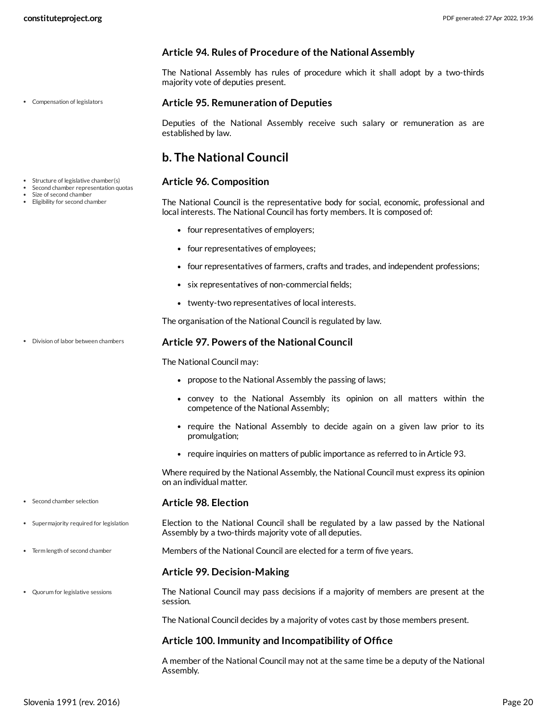#### **Article 94. Rules of Procedure of the National Assembly**

The National Assembly has rules of procedure which it shall adopt by a two-thirds majority vote of deputies present.

Compensation of legislators

• Structure of legislative chamber(s) Second chamber representation quotas

Size of second chamber Eligibility for second chamber

#### <span id="page-19-1"></span>**Article 95. Remuneration of Deputies**

Deputies of the National Assembly receive such salary or remuneration as are established by law.

#### <span id="page-19-0"></span>**b. The National Council**

#### <span id="page-19-3"></span>**Article 96. Composition**

The National Council is the representative body for social, economic, professional and local interests. The National Council has forty members. It is composed of:

- four representatives of employers;
- four representatives of employees;
- four representatives of farmers, crafts and trades, and independent professions;
- six representatives of non-commercial fields;
- twenty-two representatives of local interests.

The organisation of the National Council is regulated by law.

Division of labor between chambers

#### <span id="page-19-2"></span>**Article 97. Powers of the National Council**

The National Council may:

- propose to the National Assembly the passing of laws;
- convey to the National Assembly its opinion on all matters within the competence of the National Assembly;
- require the National Assembly to decide again on a given law prior to its promulgation;
- require inquiries on matters of public importance as referred to in Article 93.

<span id="page-19-5"></span>Where required by the National Assembly, the National Council must express its opinion on an individual matter.

#### **Article 98. Election** Second chamber selection

Election to the National Council shall be regulated by a law passed by the National Assembly by a two-thirds majority vote of all deputies. Supermajority required for legislation

<span id="page-19-7"></span><span id="page-19-6"></span>Members of the National Council are elected for a term of five years.

#### **Article 99. Decision-Making**

<span id="page-19-4"></span>The National Council may pass decisions if a majority of members are present at the session.

The National Council decides by a majority of votes cast by those members present.

#### **Article 100. Immunity and Incompatibility of Office**

A member of the National Council may not at the same time be a deputy of the National Assembly.

Term length of second chamber

Quorum for legislative sessions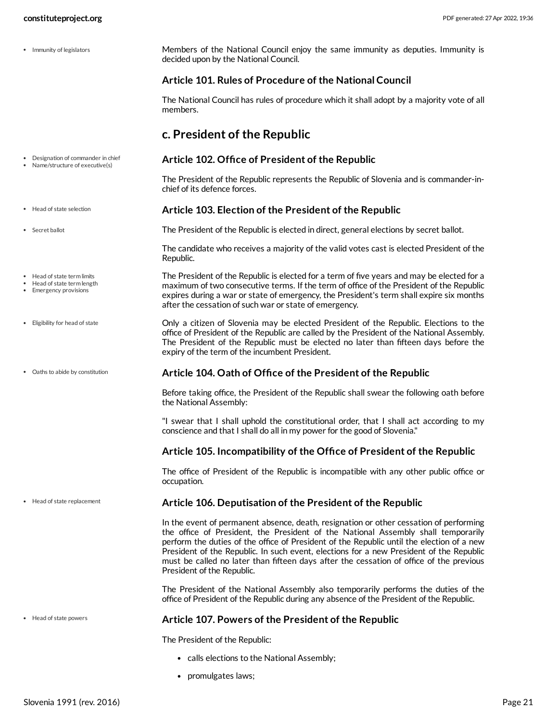Designation of commander in chief Name/structure of executive(s)

Head of state selection

• Head of state term limits Head of state term length Emergency provisions

Eligibility for head of state

Oaths to abide by constitution

Head of state replacement

• Head of state powers

• Secret ballot

• Immunity of legislators

<span id="page-20-7"></span>Members of the National Council enjoy the same immunity as deputies. Immunity is decided upon by the National Council.

#### **Article 101. Rules of Procedure of the National Council**

The National Council has rules of procedure which it shall adopt by a majority vote of all members.

#### <span id="page-20-0"></span>**c. President of the Republic**

#### <span id="page-20-1"></span>**Article 102. Office of President of the Republic**

The President of the Republic represents the Republic of Slovenia and is commander-inchief of its defence forces.

#### <span id="page-20-6"></span>**Article 103. Election of the President of the Republic**

<span id="page-20-9"></span>The President of the Republic is elected in direct, general elections by secret ballot.

The candidate who receives a majority of the valid votes cast is elected President of the Republic.

<span id="page-20-3"></span>The President of the Republic is elected for a term of five years and may be elected for a maximum of two consecutive terms. If the term of office of the President of the Republic expires during a war or state of emergency, the President's term shall expire six months after the cessation of such war or state of emergency.

<span id="page-20-2"></span>Only a citizen of Slovenia may be elected President of the Republic. Elections to the office of President of the Republic are called by the President of the National Assembly. The President of the Republic must be elected no later than fifteen days before the expiry of the term of the incumbent President.

#### <span id="page-20-8"></span>**Article 104. Oath of Office of the President of the Republic**

Before taking office, the President of the Republic shall swear the following oath before the National Assembly:

"I swear that I shall uphold the constitutional order, that I shall act according to my conscience and that I shall do all in my power for the good of Slovenia."

#### **Article 105. Incompatibility of the Office of President of the Republic**

The office of President of the Republic is incompatible with any other public office or occupation.

#### <span id="page-20-5"></span>**Article 106. Deputisation of the President of the Republic**

In the event of permanent absence, death, resignation or other cessation of performing the office of President, the President of the National Assembly shall temporarily perform the duties of the office of President of the Republic until the election of a new President of the Republic. In such event, elections for a new President of the Republic must be called no later than fifteen days after the cessation of office of the previous President of the Republic.

The President of the National Assembly also temporarily performs the duties of the office of President of the Republic during any absence of the President of the Republic.

#### <span id="page-20-4"></span>**Article 107. Powers of the President of the Republic**

The President of the Republic:

- calls elections to the National Assembly;
- promulgates laws;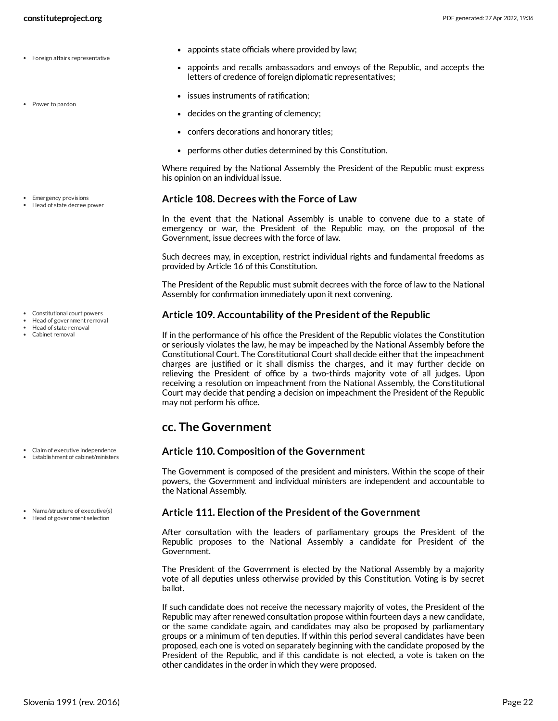- Foreign affairs representative
- Power to pardon

- Emergency provisions
- Head of state decree power

- Constitutional court powers
- Head of government removal Head of state removal
- Cabinet removal

- Claim of executive independence Establishment of cabinet/ministers
- Name/structure of executive(s)
- Head of government selection
- appoints state officials where provided by law;
- <span id="page-21-4"></span>appoints and recalls ambassadors and envoys of the Republic, and accepts the letters of credence of foreign diplomatic representatives;
- issues instruments of ratification;
- <span id="page-21-6"></span>decides on the granting of clemency;
- confers decorations and honorary titles;
- performs other duties determined by this Constitution.

Where required by the National Assembly the President of the Republic must express his opinion on an individual issue.

#### <span id="page-21-3"></span>**Article 108. Decrees with the Force of Law**

In the event that the National Assembly is unable to convene due to a state of emergency or war, the President of the Republic may, on the proposal of the Government, issue decrees with the force of law.

Such decrees may, in exception, restrict individual rights and fundamental freedoms as provided by Article 16 of this Constitution.

The President of the Republic must submit decrees with the force of law to the National Assembly for confirmation immediately upon it next convening.

#### <span id="page-21-1"></span>**Article 109. Accountability of the President of the Republic**

If in the performance of his office the President of the Republic violates the Constitution or seriously violates the law, he may be impeached by the National Assembly before the Constitutional Court. The Constitutional Court shall decide either that the impeachment charges are justified or it shall dismiss the charges, and it may further decide on relieving the President of office by a two-thirds majority vote of all judges. Upon receiving a resolution on impeachment from the National Assembly, the Constitutional Court may decide that pending a decision on impeachment the President of the Republic may not perform his office.

### <span id="page-21-0"></span>**cc. The Government**

#### <span id="page-21-2"></span>**Article 110. Composition of the Government**

The Government is composed of the president and ministers. Within the scope of their powers, the Government and individual ministers are independent and accountable to the National Assembly.

#### <span id="page-21-5"></span>**Article 111. Election of the President of the Government**

After consultation with the leaders of parliamentary groups the President of the Republic proposes to the National Assembly a candidate for President of the Government.

The President of the Government is elected by the National Assembly by a majority vote of all deputies unless otherwise provided by this Constitution. Voting is by secret ballot.

If such candidate does not receive the necessary majority of votes, the President of the Republic may after renewed consultation propose within fourteen days a new candidate, or the same candidate again, and candidates may also be proposed by parliamentary groups or a minimum of ten deputies. If within this period several candidates have been proposed, each one is voted on separately beginning with the candidate proposed by the President of the Republic, and if this candidate is not elected, a vote is taken on the other candidates in the order in which they were proposed.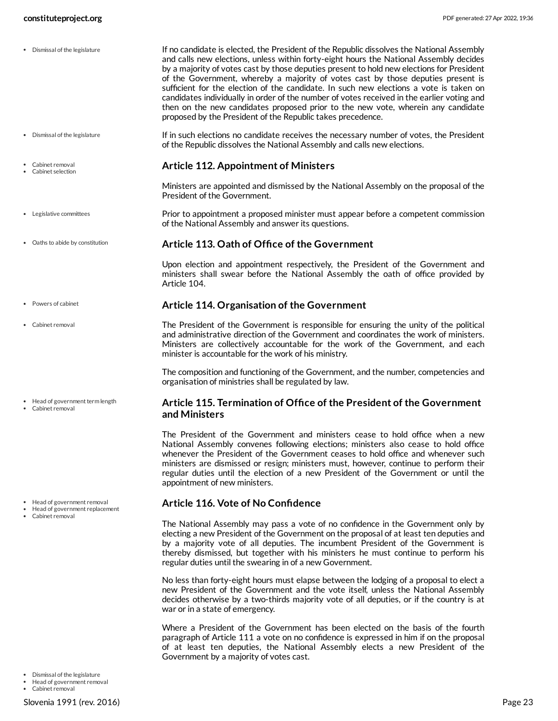- If no candidate is elected, the President of the Republic dissolves the National Assembly and calls new elections, unless within forty-eight hours the National Assembly decides by a majority of votes cast by those deputies present to hold new elections for President of the Government, whereby a majority of votes cast by those deputies present is sufficient for the election of the candidate. In such new elections a vote is taken on candidates individually in order of the number of votes received in the earlier voting and then on the new candidates proposed prior to the new vote, wherein any candidate proposed by the President of the Republic takes precedence. If in such elections no candidate receives the necessary number of votes, the President of the Republic dissolves the National Assembly and calls new elections. **Article 112. Appointment of Ministers** Ministers are appointed and dismissed by the National Assembly on the proposal of the President of the Government. Prior to appointment a proposed minister must appear before a competent commission of the National Assembly and answer its questions. Dismissal of the legislature Dismissal of the legislature Cabinet removal Cabinet selection Legislative committees
- Oaths to abide by constitution
- Powers of cabinet
- Cabinet removal
- Head of government term length
- Cabinet removal

- Head of government removal
- Head of government replacement
- Cabinet removal

Dismissal of the legislature

Head of government removal Cabinet removal

<span id="page-22-1"></span><span id="page-22-0"></span>

#### <span id="page-22-5"></span><span id="page-22-4"></span>**Article 113. Oath of Office of the Government**

Upon election and appointment respectively, the President of the Government and ministers shall swear before the National Assembly the oath of office provided by Article 104.

#### <span id="page-22-6"></span>**Article 114. Organisation of the Government**

The President of the Government is responsible for ensuring the unity of the political and administrative direction of the Government and coordinates the work of ministers. Ministers are collectively accountable for the work of the Government, and each minister is accountable for the work of his ministry.

The composition and functioning of the Government, and the number, competencies and organisation of ministries shall be regulated by law.

#### <span id="page-22-3"></span>**Article 115. Termination of Office of the President of the Government and Ministers**

The President of the Government and ministers cease to hold office when a new National Assembly convenes following elections; ministers also cease to hold office whenever the President of the Government ceases to hold office and whenever such ministers are dismissed or resign; ministers must, however, continue to perform their regular duties until the election of a new President of the Government or until the appointment of new ministers.

#### <span id="page-22-2"></span>**Article 116. Vote of No Confidence**

The National Assembly may pass a vote of no confidence in the Government only by electing a new President of the Government on the proposal of at least ten deputies and by a majority vote of all deputies. The incumbent President of the Government is thereby dismissed, but together with his ministers he must continue to perform his regular duties until the swearing in of a new Government.

No less than forty-eight hours must elapse between the lodging of a proposal to elect a new President of the Government and the vote itself, unless the National Assembly decides otherwise by a two-thirds majority vote of all deputies, or if the country is at war or in a state of emergency.

Where a President of the Government has been elected on the basis of the fourth paragraph of Article 111 a vote on no confidence is expressed in him if on the proposal of at least ten deputies, the National Assembly elects a new President of the Government by a majority of votes cast.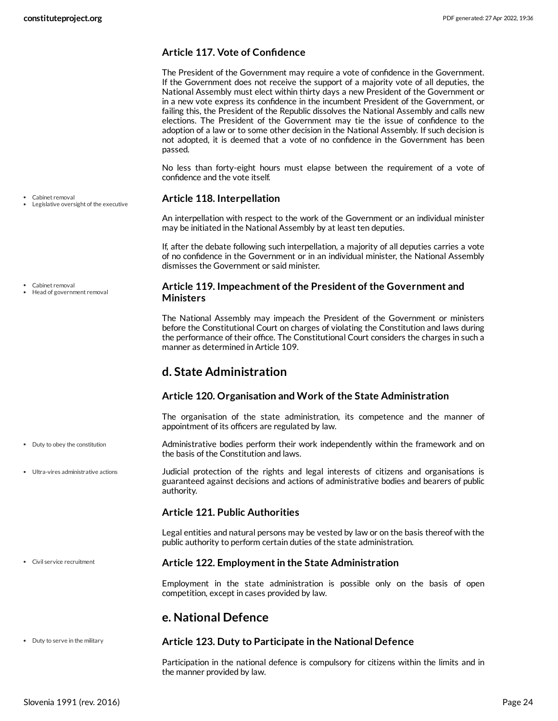#### **Article 117. Vote of Confidence**

The President of the Government may require a vote of confidence in the Government. If the Government does not receive the support of a majority vote of all deputies, the National Assembly must elect within thirty days a new President of the Government or in a new vote express its confidence in the incumbent President of the Government, or failing this, the President of the Republic dissolves the National Assembly and calls new elections. The President of the Government may tie the issue of confidence to the adoption of a law or to some other decision in the National Assembly. If such decision is not adopted, it is deemed that a vote of no confidence in the Government has been passed.

No less than forty-eight hours must elapse between the requirement of a vote of confidence and the vote itself.

#### <span id="page-23-2"></span>**Article 118. Interpellation**

An interpellation with respect to the work of the Government or an individual minister may be initiated in the National Assembly by at least ten deputies.

If, after the debate following such interpellation, a majority of all deputies carries a vote of no confidence in the Government or in an individual minister, the National Assembly dismisses the Government or said minister.

#### <span id="page-23-6"></span>**Article 119. Impeachment of the President of the Government and Ministers**

The National Assembly may impeach the President of the Government or ministers before the Constitutional Court on charges of violating the Constitution and laws during the performance of their office. The Constitutional Court considers the charges in such a manner as determined in Article 109.

### <span id="page-23-0"></span>**d. State Administration**

#### **Article 120. Organisation and Work of the State Administration**

The organisation of the state administration, its competence and the manner of appointment of its officers are regulated by law.

<span id="page-23-4"></span>Administrative bodies perform their work independently within the framework and on the basis of the Constitution and laws.

<span id="page-23-7"></span>Judicial protection of the rights and legal interests of citizens and organisations is guaranteed against decisions and actions of administrative bodies and bearers of public authority.

#### **Article 121. Public Authorities**

Legal entities and natural persons may be vested by law or on the basis thereof with the public authority to perform certain duties of the state administration.

#### <span id="page-23-3"></span>**Article 122. Employmentin the State Administration**

Employment in the state administration is possible only on the basis of open competition, except in cases provided by law.

#### <span id="page-23-1"></span>**e. National Defence**

#### **Article 123. Duty to Participate in the National Defence** Duty to serve in the military

<span id="page-23-5"></span>Participation in the national defence is compulsory for citizens within the limits and in the manner provided by law.

Cabinet removal

Legislative oversight of the executive

- Cabinet removal
- Head of government removal

Duty to obey the constitution

Ultra-vires administrative actions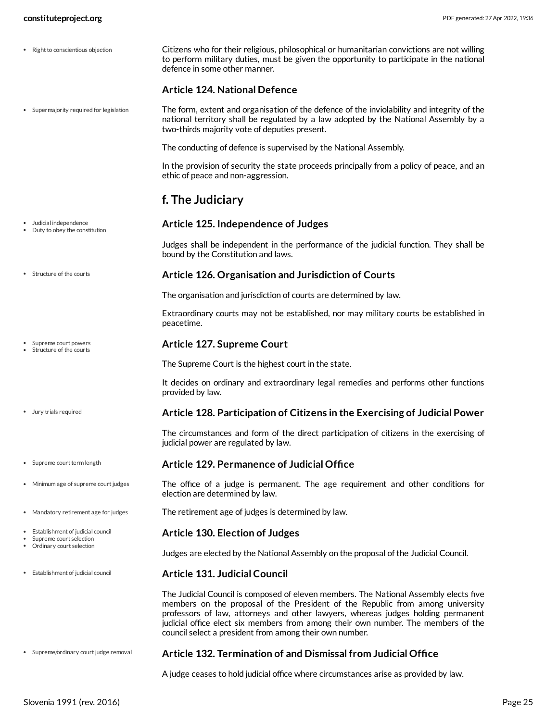• Right to conscientious objection

Supermajority required for legislation

<span id="page-24-6"></span>Citizens who for their religious, philosophical or humanitarian convictions are not willing to perform military duties, must be given the opportunity to participate in the national defence in some other manner.

#### **Article 124. National Defence**

<span id="page-24-8"></span>The form, extent and organisation of the defence of the inviolability and integrity of the national territory shall be regulated by a law adopted by the National Assembly by a two-thirds majority vote of deputies present.

The conducting of defence is supervised by the National Assembly.

In the provision of security the state proceeds principally from a policy of peace, and an ethic of peace and non-aggression.

### <span id="page-24-0"></span>**f. The Judiciary**

#### <span id="page-24-1"></span>**Article 125. Independence of Judges**

Judges shall be independent in the performance of the judicial function. They shall be bound by the Constitution and laws.

#### <span id="page-24-7"></span>**Article 126. Organisation and Jurisdiction of Courts**

The organisation and jurisdiction of courts are determined by law.

Extraordinary courts may not be established, nor may military courts be established in peacetime.

#### <span id="page-24-9"></span>**Article 127. Supreme Court**

The Supreme Court is the highest court in the state.

It decides on ordinary and extraordinary legal remedies and performs other functions provided by law.

#### <span id="page-24-3"></span>**Article 128. Participation of Citizens in the Exercising of Judicial Power**

The circumstances and form of the direct participation of citizens in the exercising of judicial power are regulated by law.

#### <span id="page-24-10"></span>**Article 129. Permanence of Judicial Office**

<span id="page-24-5"></span>The office of a judge is permanent. The age requirement and other conditions for election are determined by law.

<span id="page-24-4"></span>The retirement age of judges is determined by law.

#### <span id="page-24-2"></span>**Article 130. Election of Judges**

Judges are elected by the National Assembly on the proposal of the Judicial Council.

#### **Article 131. Judicial Council**

The Judicial Council is composed of eleven members. The National Assembly elects five members on the proposal of the President of the Republic from among university professors of law, attorneys and other lawyers, whereas judges holding permanent judicial office elect six members from among their own number. The members of the council select a president from among their own number.

#### **Article 132. Termination of and Dismissal from Judicial Office** • Supreme/ordinary court judge removal

<span id="page-24-11"></span>A judge ceases to hold judicial office where circumstances arise as provided by law.

- Judicial independence Duty to obey the constitution
- Structure of the courts
- Supreme court powers Structure of the courts
- Jury trials required
- Supreme court term length
- Minimum age of supreme court judges
- Mandatory retirement age for judges
- Establishment of judicial council
- Supreme court selection Ordinary court selection
- Establishment of judicial council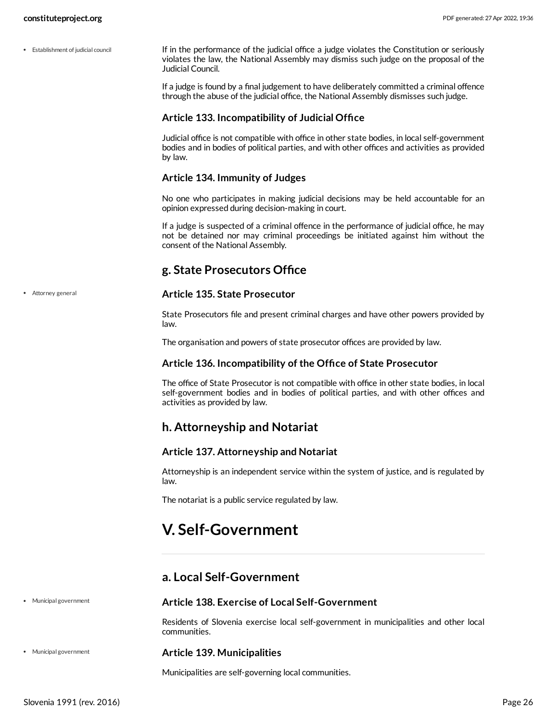Attorney general

<span id="page-25-5"></span>If in the performance of the judicial office a judge violates the Constitution or seriously violates the law, the National Assembly may dismiss such judge on the proposal of the Judicial Council.

If a judge is found by a final judgement to have deliberately committed a criminal offence through the abuse of the judicial office, the National Assembly dismisses such judge.

#### **Article 133. Incompatibility of Judicial Office**

Judicial office is not compatible with office in other state bodies, in local self-government bodies and in bodies of political parties, and with other offices and activities as provided by law.

#### **Article 134. Immunity of Judges**

No one who participates in making judicial decisions may be held accountable for an opinion expressed during decision-making in court.

If a judge is suspected of a criminal offence in the performance of judicial office, he may not be detained nor may criminal proceedings be initiated against him without the consent of the National Assembly.

#### <span id="page-25-0"></span>**g. State Prosecutors Office**

#### <span id="page-25-4"></span>**Article 135. State Prosecutor**

State Prosecutors file and present criminal charges and have other powers provided by law.

The organisation and powers of state prosecutor offices are provided by law.

#### **Article 136. Incompatibility of the Office of State Prosecutor**

The office of State Prosecutor is not compatible with office in other state bodies, in local self-government bodies and in bodies of political parties, and with other offices and activities as provided by law.

#### <span id="page-25-1"></span>**h. Attorneyship and Notariat**

#### **Article 137. Attorneyship and Notariat**

Attorneyship is an independent service within the system of justice, and is regulated by law.

The notariat is a public service regulated by law.

## <span id="page-25-2"></span>**V. Self-Government**

#### <span id="page-25-3"></span>**a. Local Self-Government**

Municipal government

Municipal government

#### <span id="page-25-6"></span>**Article 138. Exercise of Local Self-Government**

Residents of Slovenia exercise local self-government in municipalities and other local communities.

#### **Article 139. Municipalities**

Municipalities are self-governing local communities.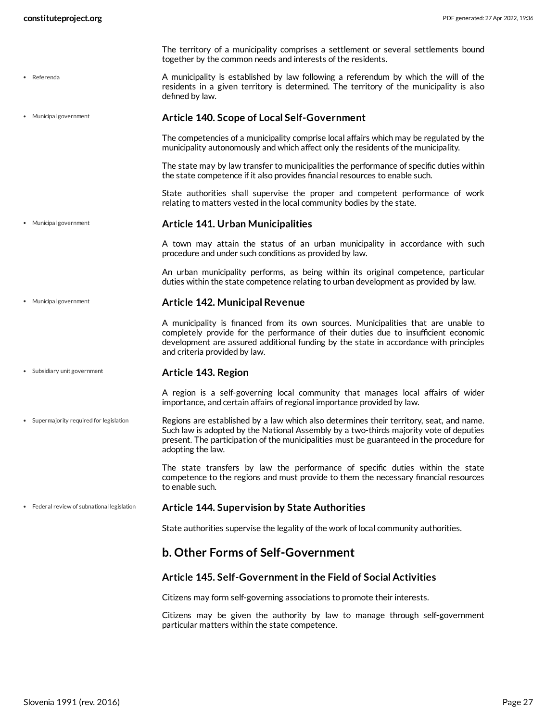<span id="page-26-5"></span><span id="page-26-4"></span><span id="page-26-3"></span><span id="page-26-2"></span><span id="page-26-1"></span><span id="page-26-0"></span>

|                                             | The territory of a municipality comprises a settlement or several settlements bound<br>together by the common needs and interests of the residents.                                                                                                                                                 |
|---------------------------------------------|-----------------------------------------------------------------------------------------------------------------------------------------------------------------------------------------------------------------------------------------------------------------------------------------------------|
| • Referenda                                 | A municipality is established by law following a referendum by which the will of the<br>residents in a given territory is determined. The territory of the municipality is also<br>defined by law.                                                                                                  |
| Municipal government                        | <b>Article 140. Scope of Local Self-Government</b>                                                                                                                                                                                                                                                  |
|                                             | The competencies of a municipality comprise local affairs which may be regulated by the<br>municipality autonomously and which affect only the residents of the municipality.                                                                                                                       |
|                                             | The state may by law transfer to municipalities the performance of specific duties within<br>the state competence if it also provides financial resources to enable such.                                                                                                                           |
|                                             | State authorities shall supervise the proper and competent performance of work<br>relating to matters vested in the local community bodies by the state.                                                                                                                                            |
| • Municipal government                      | <b>Article 141. Urban Municipalities</b>                                                                                                                                                                                                                                                            |
|                                             | A town may attain the status of an urban municipality in accordance with such<br>procedure and under such conditions as provided by law.                                                                                                                                                            |
|                                             | An urban municipality performs, as being within its original competence, particular<br>duties within the state competence relating to urban development as provided by law.                                                                                                                         |
| Municipal government                        | <b>Article 142. Municipal Revenue</b>                                                                                                                                                                                                                                                               |
|                                             | A municipality is financed from its own sources. Municipalities that are unable to<br>completely provide for the performance of their duties due to insufficient economic<br>development are assured additional funding by the state in accordance with principles<br>and criteria provided by law. |
| Subsidiary unit government                  | Article 143. Region                                                                                                                                                                                                                                                                                 |
|                                             | A region is a self-governing local community that manages local affairs of wider<br>importance, and certain affairs of regional importance provided by law.                                                                                                                                         |
| • Supermajority required for legislation    | Regions are established by a law which also determines their territory, seat, and name.<br>Such law is adopted by the National Assembly by a two-thirds majority vote of deputies<br>present. The participation of the municipalities must be guaranteed in the procedure for<br>adopting the law.  |
|                                             | The state transfers by law the performance of specific duties within the state<br>competence to the regions and must provide to them the necessary financial resources<br>to enable such.                                                                                                           |
| • Federal review of subnational legislation | <b>Article 144. Supervision by State Authorities</b>                                                                                                                                                                                                                                                |
|                                             | State authorities supervise the legality of the work of local community authorities.                                                                                                                                                                                                                |
|                                             | b. Other Forms of Self-Government                                                                                                                                                                                                                                                                   |
|                                             | Article 145. Self-Government in the Field of Social Activities                                                                                                                                                                                                                                      |
|                                             | Citizens may form self-governing associations to promote their interests.                                                                                                                                                                                                                           |
|                                             | Citizens may be given the authority by law to manage through self-government<br>particular matters within the state competence.                                                                                                                                                                     |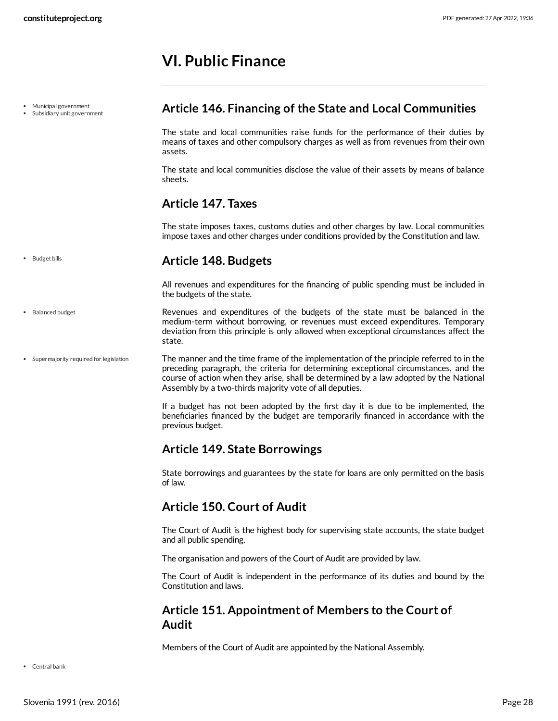## <span id="page-27-0"></span>**VI. Public Finance**

Municipal government

• Budget bills

• Balanced budget

Subsidiary unit government

### <span id="page-27-1"></span>**Article 146. Financing of the State and Local Communities**

The state and local communities raise funds for the performance of their duties by means of taxes and other compulsory charges as well as from revenues from their own assets.

The state and local communities disclose the value of their assets by means of balance sheets.

### <span id="page-27-2"></span>**Article 147. Taxes**

The state imposes taxes, customs duties and other charges by law. Local communities impose taxes and other charges under conditions provided by the Constitution and law.

### <span id="page-27-3"></span>**Article 148. Budgets**

<span id="page-27-7"></span>All revenues and expenditures for the financing of public spending must be included in the budgets of the state.

- Revenues and expenditures of the budgets of the state must be balanced in the medium-term without borrowing, or revenues must exceed expenditures. Temporary deviation from this principle is only allowed when exceptional circumstances affect the state.
- The manner and the time frame of the implementation of the principle referred to in the preceding paragraph, the criteria for determining exceptional circumstances, and the course of action when they arise, shall be determined by a law adopted by the National Assembly by a two-thirds majority vote of all deputies. Supermajority required for legislation

<span id="page-27-9"></span>If a budget has not been adopted by the first day it is due to be implemented, the beneficiaries financed by the budget are temporarily financed in accordance with the previous budget.

### <span id="page-27-4"></span>**Article 149. State Borrowings**

State borrowings and guarantees by the state for loans are only permitted on the basis of law.

### <span id="page-27-5"></span>**Article 150. Court of Audit**

The Court of Audit is the highest body for supervising state accounts, the state budget and all public spending.

The organisation and powers of the Court of Audit are provided by law.

The Court of Audit is independent in the performance of its duties and bound by the Constitution and laws.

### <span id="page-27-6"></span>**Article 151. Appointment of Members to the Court of Audit**

<span id="page-27-8"></span>Members of the Court of Audit are appointed by the National Assembly.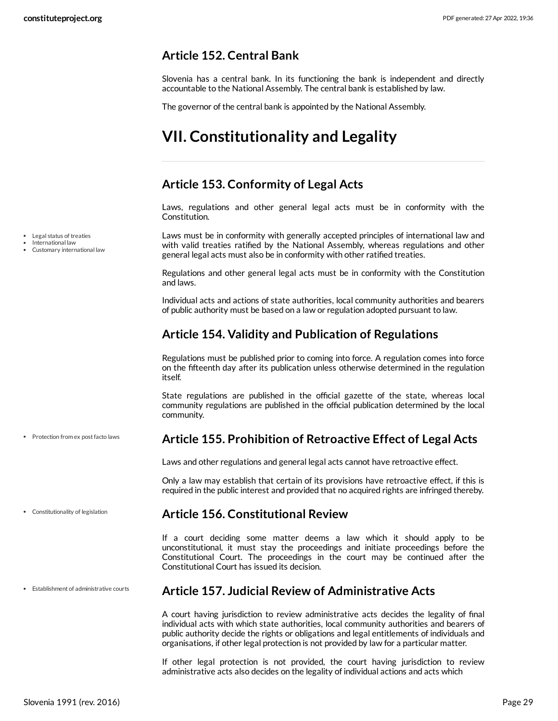### <span id="page-28-0"></span>**Article 152. Central Bank**

Slovenia has a central bank. In its functioning the bank is independent and directly accountable to the National Assembly. The central bank is established by law.

The governor of the central bank is appointed by the National Assembly.

## <span id="page-28-1"></span>**VII. Constitutionality and Legality**

### <span id="page-28-2"></span>**Article 153. Conformity of Legal Acts**

Laws, regulations and other general legal acts must be in conformity with the Constitution.

<span id="page-28-7"></span>Laws must be in conformity with generally accepted principles of international law and with valid treaties ratified by the National Assembly, whereas regulations and other general legal acts must also be in conformity with other ratified treaties.

Regulations and other general legal acts must be in conformity with the Constitution and laws.

Individual acts and actions of state authorities, local community authorities and bearers of public authority must be based on a law or regulation adopted pursuant to law.

### <span id="page-28-3"></span>**Article 154. Validity and Publication of Regulations**

Regulations must be published prior to coming into force. A regulation comes into force on the fifteenth day after its publication unless otherwise determined in the regulation itself.

State regulations are published in the official gazette of the state, whereas local community regulations are published in the official publication determined by the local community.

### <span id="page-28-4"></span>**Article 155. Prohibition of Retroactive Effect of Legal Acts**

Laws and other regulations and general legal acts cannot have retroactive effect.

Only a law may establish that certain of its provisions have retroactive effect, if this is required in the public interest and provided that no acquired rights are infringed thereby.

#### <span id="page-28-5"></span>**Article 156. Constitutional Review**

If a court deciding some matter deems a law which it should apply to be unconstitutional, it must stay the proceedings and initiate proceedings before the Constitutional Court. The proceedings in the court may be continued after the Constitutional Court has issued its decision.

#### Establishment of administrative courts

• Protection from ex post facto laws

Constitutionality of legislation

### <span id="page-28-6"></span>**Article 157. Judicial Review of Administrative Acts**

A court having jurisdiction to review administrative acts decides the legality of final individual acts with which state authorities, local community authorities and bearers of public authority decide the rights or obligations and legal entitlements of individuals and organisations, if other legal protection is not provided by law for a particular matter.

If other legal protection is not provided, the court having jurisdiction to review administrative acts also decides on the legality of individual actions and acts which

- Legal status of treaties
- International law Customary international law
-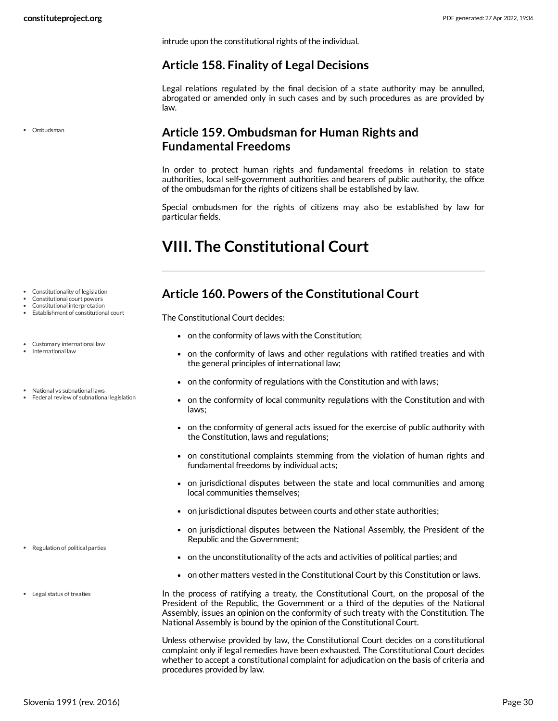intrude upon the constitutional rights of the individual.

### <span id="page-29-0"></span>**Article 158. Finality of Legal Decisions**

Legal relations regulated by the final decision of a state authority may be annulled, abrogated or amended only in such cases and by such procedures as are provided by law.

Ombudsman

### <span id="page-29-1"></span>**Article 159. Ombudsman for Human Rights and Fundamental Freedoms**

In order to protect human rights and fundamental freedoms in relation to state authorities, local self-government authorities and bearers of public authority, the office of the ombudsman for the rights of citizens shall be established by law.

Special ombudsmen for the rights of citizens may also be established by law for particular fields.

## <span id="page-29-2"></span>**VIII. The Constitutional Court**

- Constitutionality of legislation
- Constitutional court powers
- Constitutional interpretation Establishment of constitutional court
- 
- Customary international law
- International law
- National vs subnational laws
- Federal review of subnational legislation

- Regulation of political parties
- Legal status of treaties

### <span id="page-29-3"></span>**Article 160. Powers of the Constitutional Court**

The Constitutional Court decides:

- on the conformity of laws with the Constitution;
- <span id="page-29-4"></span>on the conformity of laws and other regulations with ratified treaties and with the general principles of international law;
- on the conformity of regulations with the Constitution and with laws;
- <span id="page-29-5"></span>on the conformity of local community regulations with the Constitution and with laws;
- on the conformity of general acts issued for the exercise of public authority with the Constitution, laws and regulations;
- on constitutional complaints stemming from the violation of human rights and fundamental freedoms by individual acts;
- on jurisdictional disputes between the state and local communities and among local communities themselves;
- on jurisdictional disputes between courts and other state authorities;
- on jurisdictional disputes between the National Assembly, the President of the Republic and the Government;
- <span id="page-29-7"></span>• on the unconstitutionality of the acts and activities of political parties; and
- on other matters vested in the Constitutional Court by this Constitution or laws.

<span id="page-29-6"></span>In the process of ratifying a treaty, the Constitutional Court, on the proposal of the President of the Republic, the Government or a third of the deputies of the National Assembly, issues an opinion on the conformity of such treaty with the Constitution. The National Assembly is bound by the opinion of the Constitutional Court.

Unless otherwise provided by law, the Constitutional Court decides on a constitutional complaint only if legal remedies have been exhausted. The Constitutional Court decides whether to accept a constitutional complaint for adjudication on the basis of criteria and procedures provided by law.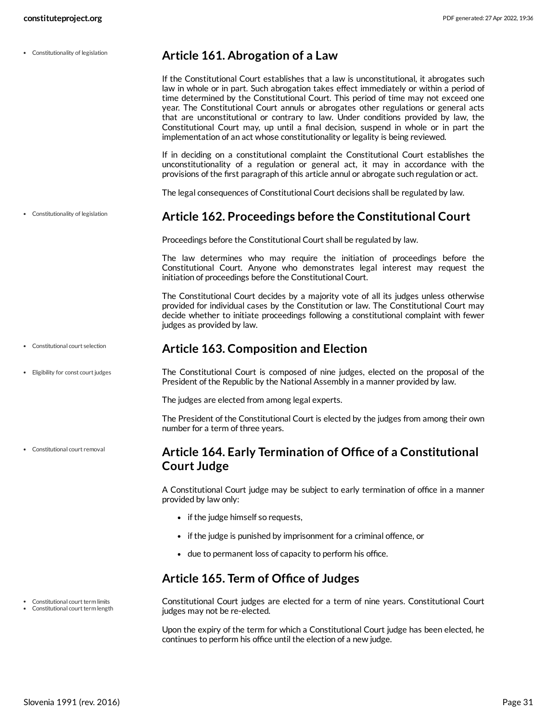<span id="page-30-1"></span><span id="page-30-0"></span>

| • Constitutionality of legislation                                   | Article 161. Abrogation of a Law                                                                                                                                                                                                                                                                                                                                                                                                                                                                                                                                                                                                      |
|----------------------------------------------------------------------|---------------------------------------------------------------------------------------------------------------------------------------------------------------------------------------------------------------------------------------------------------------------------------------------------------------------------------------------------------------------------------------------------------------------------------------------------------------------------------------------------------------------------------------------------------------------------------------------------------------------------------------|
|                                                                      | If the Constitutional Court establishes that a law is unconstitutional, it abrogates such<br>law in whole or in part. Such abrogation takes effect immediately or within a period of<br>time determined by the Constitutional Court. This period of time may not exceed one<br>year. The Constitutional Court annuls or abrogates other regulations or general acts<br>that are unconstitutional or contrary to law. Under conditions provided by law, the<br>Constitutional Court may, up until a final decision, suspend in whole or in part the<br>implementation of an act whose constitutionality or legality is being reviewed. |
|                                                                      | If in deciding on a constitutional complaint the Constitutional Court establishes the<br>unconstitutionality of a regulation or general act, it may in accordance with the<br>provisions of the first paragraph of this article annul or abrogate such regulation or act.                                                                                                                                                                                                                                                                                                                                                             |
|                                                                      | The legal consequences of Constitutional Court decisions shall be regulated by law.                                                                                                                                                                                                                                                                                                                                                                                                                                                                                                                                                   |
| Constitutionality of legislation                                     | Article 162. Proceedings before the Constitutional Court                                                                                                                                                                                                                                                                                                                                                                                                                                                                                                                                                                              |
|                                                                      | Proceedings before the Constitutional Court shall be regulated by law.                                                                                                                                                                                                                                                                                                                                                                                                                                                                                                                                                                |
|                                                                      | The law determines who may require the initiation of proceedings before the<br>Constitutional Court. Anyone who demonstrates legal interest may request the<br>initiation of proceedings before the Constitutional Court.                                                                                                                                                                                                                                                                                                                                                                                                             |
|                                                                      | The Constitutional Court decides by a majority vote of all its judges unless otherwise<br>provided for individual cases by the Constitution or law. The Constitutional Court may<br>decide whether to initiate proceedings following a constitutional complaint with fewer<br>judges as provided by law.                                                                                                                                                                                                                                                                                                                              |
| • Constitutional court selection                                     | <b>Article 163. Composition and Election</b>                                                                                                                                                                                                                                                                                                                                                                                                                                                                                                                                                                                          |
| • Eligibility for const court judges                                 | The Constitutional Court is composed of nine judges, elected on the proposal of the<br>President of the Republic by the National Assembly in a manner provided by law.                                                                                                                                                                                                                                                                                                                                                                                                                                                                |
|                                                                      | The judges are elected from among legal experts.                                                                                                                                                                                                                                                                                                                                                                                                                                                                                                                                                                                      |
|                                                                      | The President of the Constitutional Court is elected by the judges from among their own<br>number for a term of three years.                                                                                                                                                                                                                                                                                                                                                                                                                                                                                                          |
| • Constitutional court removal                                       | Article 164. Early Termination of Office of a Constitutional<br><b>Court Judge</b>                                                                                                                                                                                                                                                                                                                                                                                                                                                                                                                                                    |
|                                                                      | A Constitutional Court judge may be subject to early termination of office in a manner<br>provided by law only:                                                                                                                                                                                                                                                                                                                                                                                                                                                                                                                       |
|                                                                      | • if the judge himself so requests,                                                                                                                                                                                                                                                                                                                                                                                                                                                                                                                                                                                                   |
|                                                                      | • if the judge is punished by imprisonment for a criminal offence, or                                                                                                                                                                                                                                                                                                                                                                                                                                                                                                                                                                 |
|                                                                      | • due to permanent loss of capacity to perform his office.                                                                                                                                                                                                                                                                                                                                                                                                                                                                                                                                                                            |
|                                                                      | Article 165. Term of Office of Judges                                                                                                                                                                                                                                                                                                                                                                                                                                                                                                                                                                                                 |
| Constitutional court term limits<br>Constitutional court term length | Constitutional Court judges are elected for a term of nine years. Constitutional Court<br>judges may not be re-elected.                                                                                                                                                                                                                                                                                                                                                                                                                                                                                                               |

<span id="page-30-6"></span><span id="page-30-5"></span><span id="page-30-4"></span><span id="page-30-3"></span><span id="page-30-2"></span>Upon the expiry of the term for which a Constitutional Court judge has been elected, he continues to perform his office until the election of a new judge.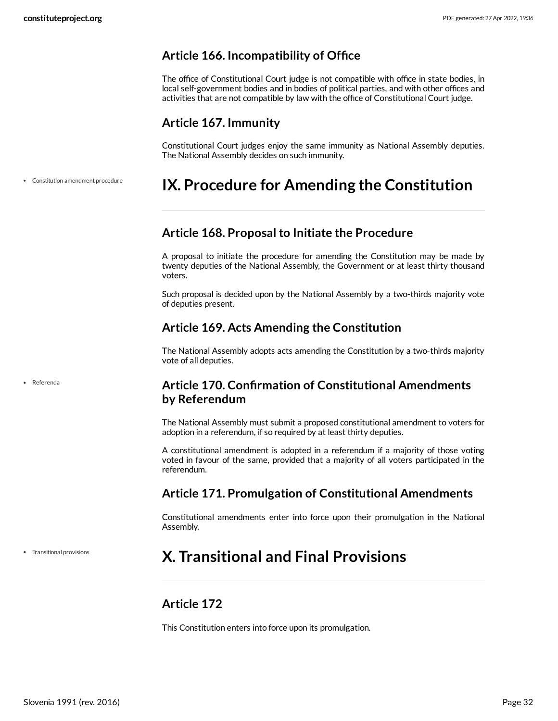#### <span id="page-31-0"></span>**Article 166. Incompatibility of Office**

The office of Constitutional Court judge is not compatible with office in state bodies, in local self-government bodies and in bodies of political parties, and with other offices and activities that are not compatible by law with the office of Constitutional Court judge.

#### <span id="page-31-1"></span>**Article 167. Immunity**

<span id="page-31-2"></span>Constitutional Court judges enjoy the same immunity as National Assembly deputies. The National Assembly decides on such immunity.

#### **IX. Procedure for Amending the Constitution** Constitution amendment procedure

#### <span id="page-31-3"></span>**Article 168. Proposal to Initiate the Procedure**

A proposal to initiate the procedure for amending the Constitution may be made by twenty deputies of the National Assembly, the Government or at least thirty thousand voters.

Such proposal is decided upon by the National Assembly by a two-thirds majority vote of deputies present.

#### <span id="page-31-4"></span>**Article 169. Acts Amending the Constitution**

The National Assembly adopts acts amending the Constitution by a two-thirds majority vote of all deputies.

#### <span id="page-31-5"></span>**Article 170. Confirmation of Constitutional Amendments by Referendum**

The National Assembly must submit a proposed constitutional amendment to voters for adoption in a referendum, if so required by at least thirty deputies.

A constitutional amendment is adopted in a referendum if a majority of those voting voted in favour of the same, provided that a majority of all voters participated in the referendum.

### <span id="page-31-6"></span>**Article 171. Promulgation of Constitutional Amendments**

Constitutional amendments enter into force upon their promulgation in the National Assembly.

Transitional provisions

Referenda

## <span id="page-31-7"></span>**X. Transitional and Final Provisions**

### <span id="page-31-8"></span>**Article 172**

This Constitution enters into force upon its promulgation.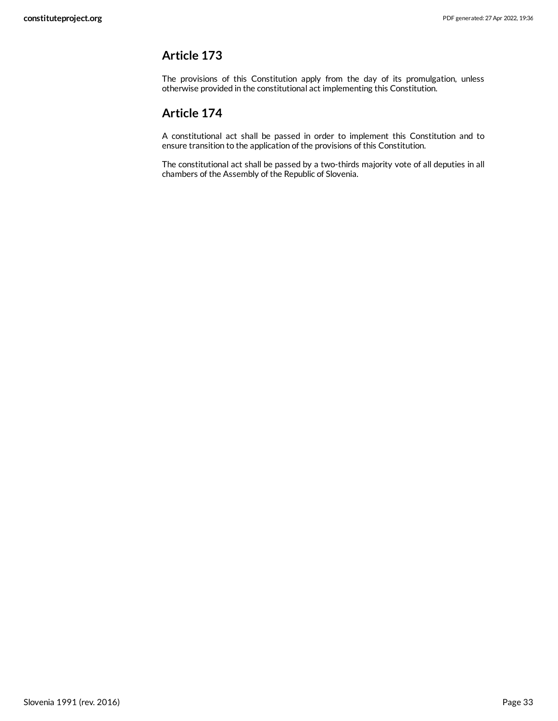### <span id="page-32-0"></span>**Article 173**

The provisions of this Constitution apply from the day of its promulgation, unless otherwise provided in the constitutional act implementing this Constitution.

### <span id="page-32-1"></span>**Article 174**

A constitutional act shall be passed in order to implement this Constitution and to ensure transition to the application of the provisions of this Constitution.

The constitutional act shall be passed by a two-thirds majority vote of all deputies in all chambers of the Assembly of the Republic of Slovenia.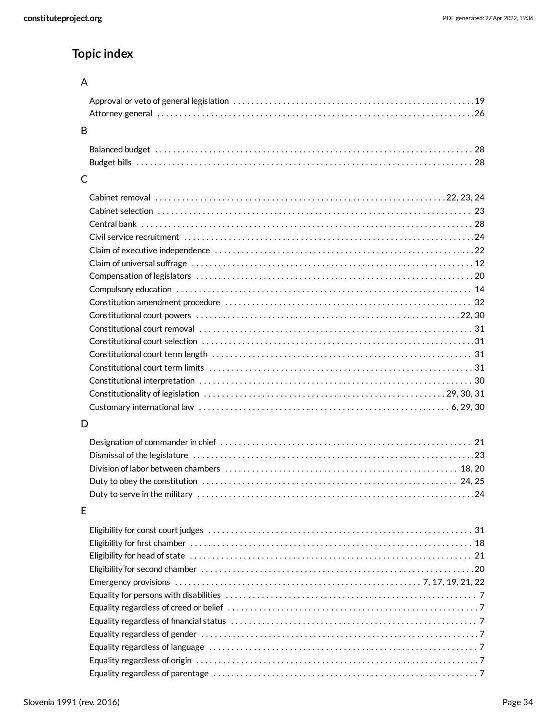## **Topic index**

| B. |  |
|----|--|

### C

### D

#### E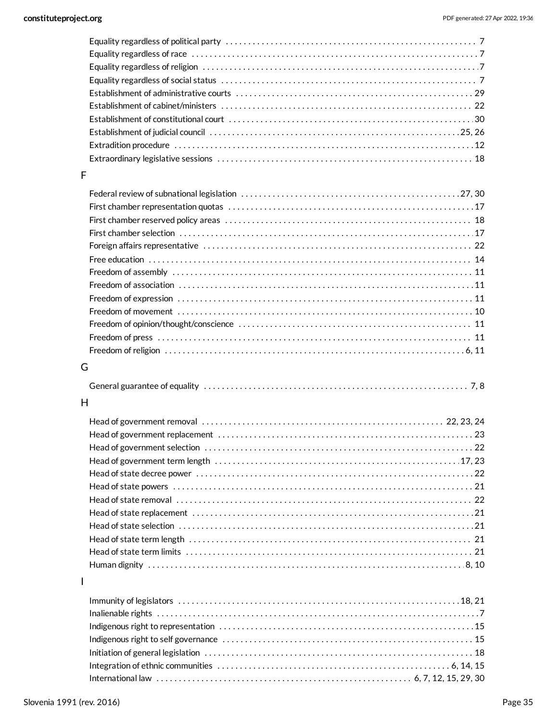| F                                                                                                          |  |
|------------------------------------------------------------------------------------------------------------|--|
|                                                                                                            |  |
|                                                                                                            |  |
|                                                                                                            |  |
|                                                                                                            |  |
|                                                                                                            |  |
|                                                                                                            |  |
|                                                                                                            |  |
|                                                                                                            |  |
|                                                                                                            |  |
|                                                                                                            |  |
|                                                                                                            |  |
|                                                                                                            |  |
|                                                                                                            |  |
|                                                                                                            |  |
| G                                                                                                          |  |
|                                                                                                            |  |
| H                                                                                                          |  |
|                                                                                                            |  |
|                                                                                                            |  |
|                                                                                                            |  |
|                                                                                                            |  |
|                                                                                                            |  |
|                                                                                                            |  |
|                                                                                                            |  |
|                                                                                                            |  |
|                                                                                                            |  |
|                                                                                                            |  |
|                                                                                                            |  |
| Human dignity $\dots\dots\dots\dots\dots\dots\dots\dots\dots\dots\dots\dots\dots\dots\dots\dots\dots\dots$ |  |
|                                                                                                            |  |
|                                                                                                            |  |
|                                                                                                            |  |
|                                                                                                            |  |
|                                                                                                            |  |
|                                                                                                            |  |

[18](#page-17-5) Initiation of general legislation . . . . . . . . . . . . . . . . . . . . . . . . . . . . . . . . . . . . . . . . . . . . . . . . . . . . . . . . . . . . [6](#page-5-8), [14,](#page-13-7) [15](#page-14-0) Integration of ethnic communities . . . . . . . . . . . . . . . . . . . . . . . . . . . . . . . . . . . . . . . . . . . . . . . . . . . . [6](#page-5-4), [7](#page-6-2), [12,](#page-11-4) [15](#page-14-4), [29,](#page-28-7) [30](#page-29-4) International law . . . . . . . . . . . . . . . . . . . . . . . . . . . . . . . . . . . . . . . . . . . . . . . . . . . . . . . . .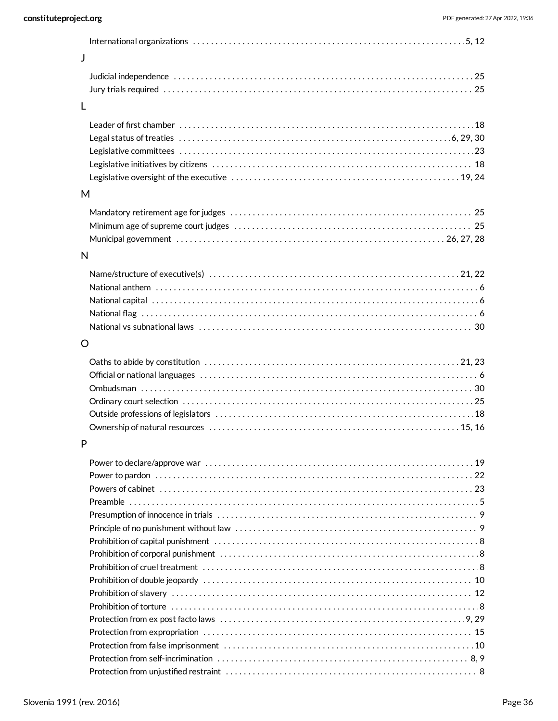| M            |  |
|--------------|--|
|              |  |
|              |  |
|              |  |
|              |  |
| $\mathsf{N}$ |  |
|              |  |
|              |  |
|              |  |
|              |  |
|              |  |
| O            |  |
|              |  |
|              |  |
|              |  |
|              |  |
|              |  |
|              |  |
|              |  |
| P            |  |
|              |  |
|              |  |
|              |  |
|              |  |
|              |  |
|              |  |
|              |  |
|              |  |
|              |  |
|              |  |
|              |  |
|              |  |
|              |  |
|              |  |
|              |  |
|              |  |
|              |  |
|              |  |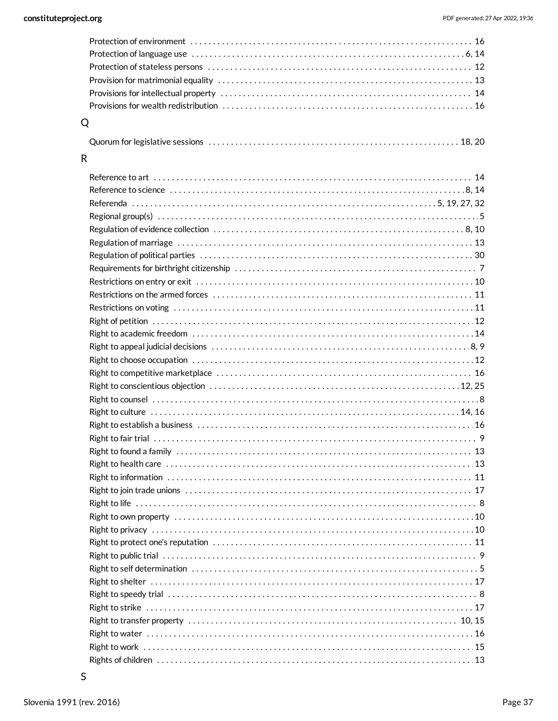| Q |  |
|---|--|

### ${\sf R}$

| Reference to science with the continuum of the control of the control of the control of the control of the control of the control of the control of the control of the control of the control of the control of the control of |  |
|--------------------------------------------------------------------------------------------------------------------------------------------------------------------------------------------------------------------------------|--|
|                                                                                                                                                                                                                                |  |
|                                                                                                                                                                                                                                |  |
|                                                                                                                                                                                                                                |  |
|                                                                                                                                                                                                                                |  |
|                                                                                                                                                                                                                                |  |
|                                                                                                                                                                                                                                |  |
|                                                                                                                                                                                                                                |  |
|                                                                                                                                                                                                                                |  |
|                                                                                                                                                                                                                                |  |
|                                                                                                                                                                                                                                |  |
|                                                                                                                                                                                                                                |  |
|                                                                                                                                                                                                                                |  |
|                                                                                                                                                                                                                                |  |
|                                                                                                                                                                                                                                |  |
|                                                                                                                                                                                                                                |  |
|                                                                                                                                                                                                                                |  |
|                                                                                                                                                                                                                                |  |
|                                                                                                                                                                                                                                |  |
|                                                                                                                                                                                                                                |  |
|                                                                                                                                                                                                                                |  |
|                                                                                                                                                                                                                                |  |
|                                                                                                                                                                                                                                |  |
|                                                                                                                                                                                                                                |  |
|                                                                                                                                                                                                                                |  |
|                                                                                                                                                                                                                                |  |
|                                                                                                                                                                                                                                |  |
|                                                                                                                                                                                                                                |  |
|                                                                                                                                                                                                                                |  |
|                                                                                                                                                                                                                                |  |
|                                                                                                                                                                                                                                |  |
|                                                                                                                                                                                                                                |  |
|                                                                                                                                                                                                                                |  |
|                                                                                                                                                                                                                                |  |
|                                                                                                                                                                                                                                |  |
|                                                                                                                                                                                                                                |  |
|                                                                                                                                                                                                                                |  |